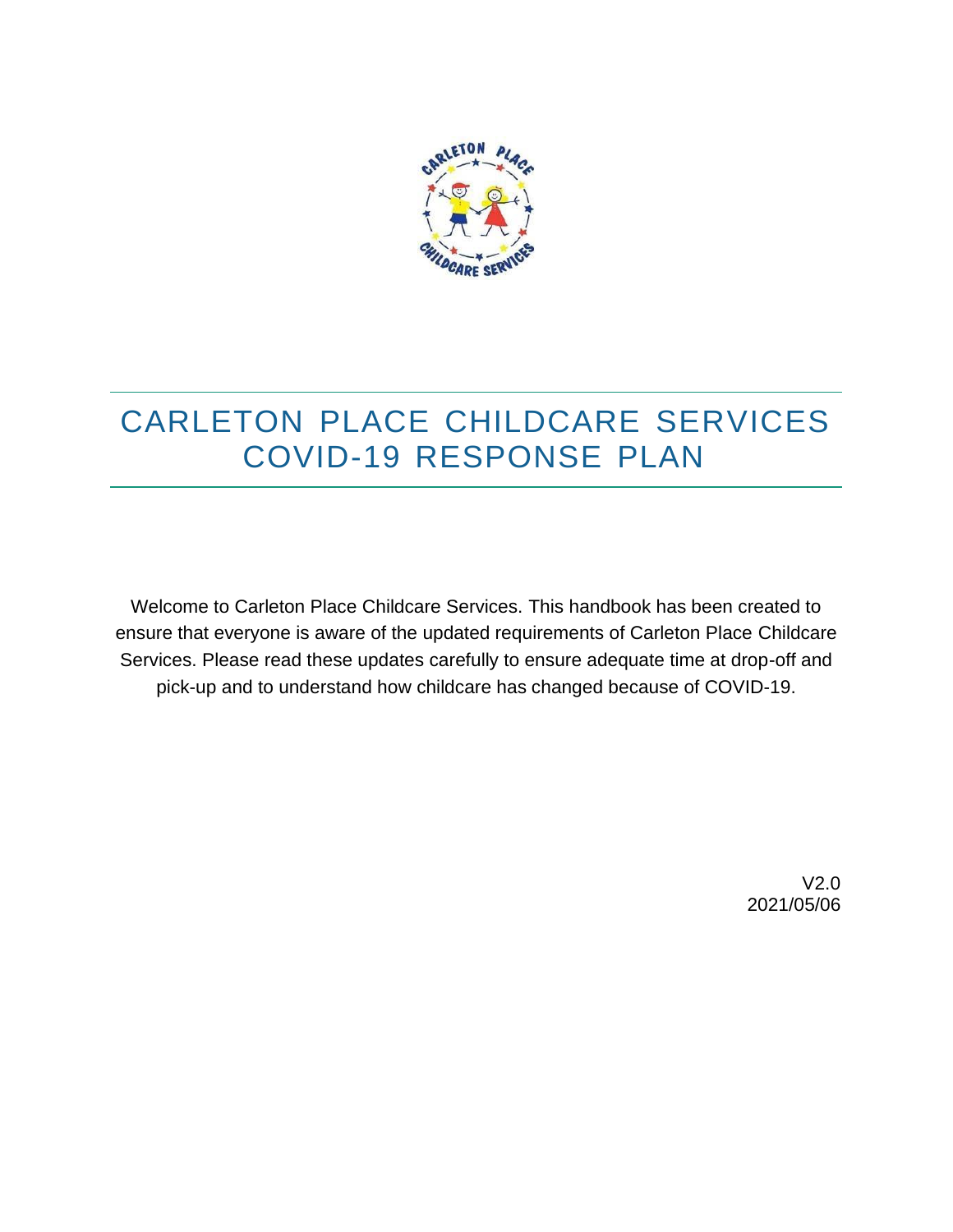

## CARLETON PLACE CHILDCARE SERVICES COVID-19 RESPONSE PLAN

Welcome to Carleton Place Childcare Services. This handbook has been created to ensure that everyone is aware of the updated requirements of Carleton Place Childcare Services. Please read these updates carefully to ensure adequate time at drop-off and pick-up and to understand how childcare has changed because of COVID-19.

> V2.0 2021/05/06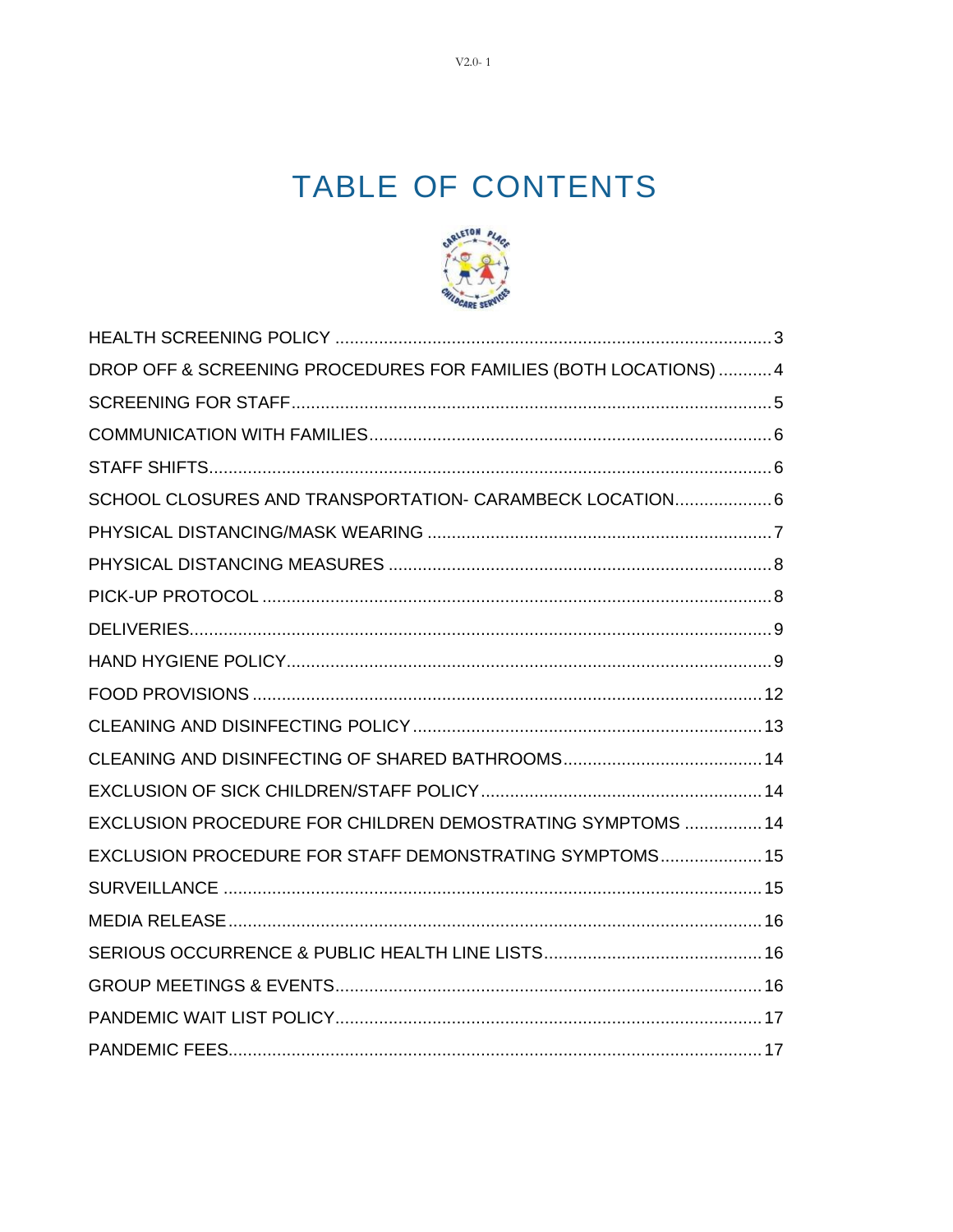# TABLE OF CONTENTS



| DROP OFF & SCREENING PROCEDURES FOR FAMILIES (BOTH LOCATIONS)  4 |  |
|------------------------------------------------------------------|--|
|                                                                  |  |
|                                                                  |  |
|                                                                  |  |
| SCHOOL CLOSURES AND TRANSPORTATION- CARAMBECK LOCATION 6         |  |
|                                                                  |  |
|                                                                  |  |
|                                                                  |  |
|                                                                  |  |
|                                                                  |  |
|                                                                  |  |
|                                                                  |  |
|                                                                  |  |
|                                                                  |  |
| EXCLUSION PROCEDURE FOR CHILDREN DEMOSTRATING SYMPTOMS  14       |  |
| EXCLUSION PROCEDURE FOR STAFF DEMONSTRATING SYMPTOMS 15          |  |
|                                                                  |  |
|                                                                  |  |
|                                                                  |  |
|                                                                  |  |
|                                                                  |  |
|                                                                  |  |

 $V2.0 - 1$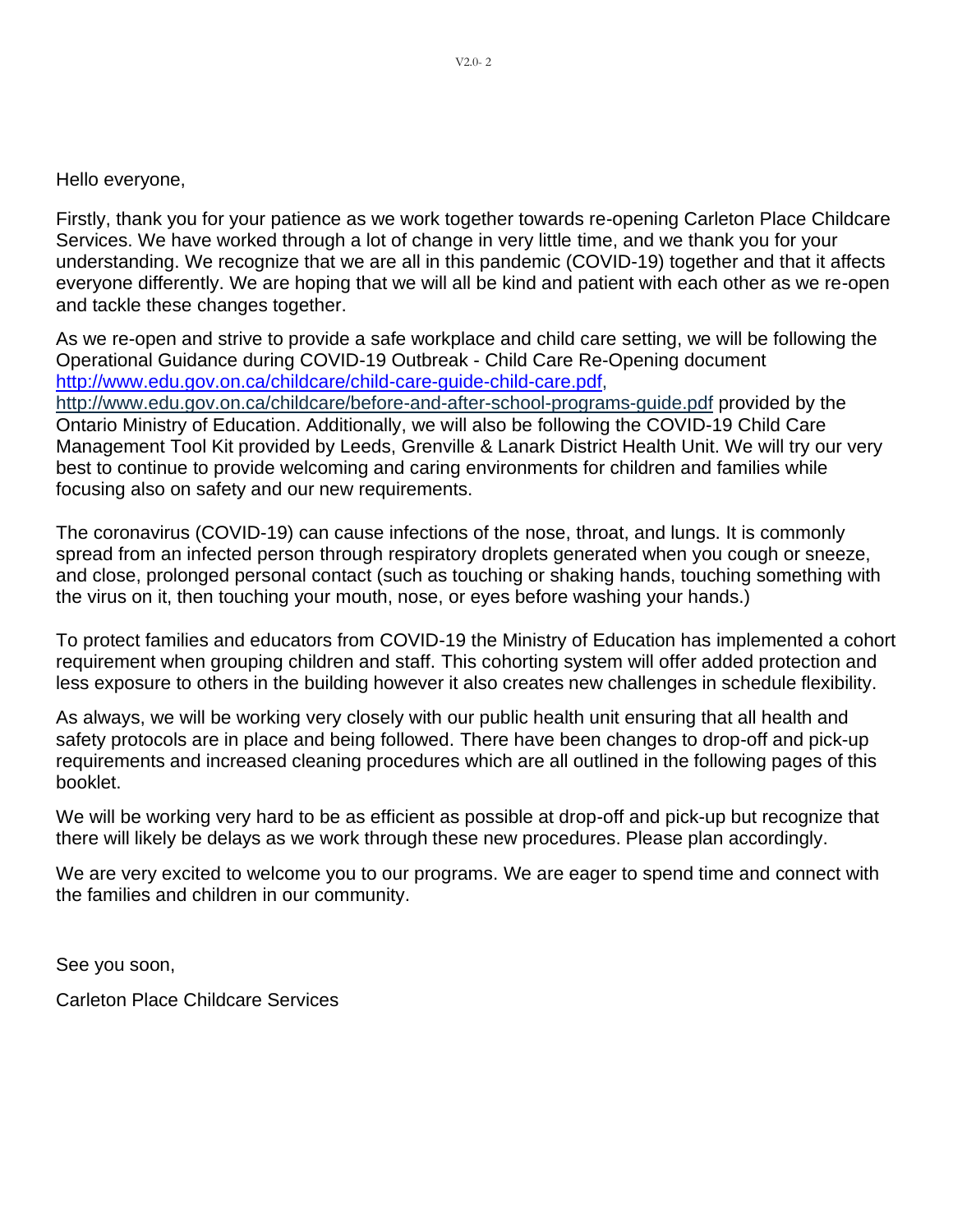Hello everyone,

Firstly, thank you for your patience as we work together towards re-opening Carleton Place Childcare Services. We have worked through a lot of change in very little time, and we thank you for your understanding. We recognize that we are all in this pandemic (COVID-19) together and that it affects everyone differently. We are hoping that we will all be kind and patient with each other as we re-open and tackle these changes together.

As we re-open and strive to provide a safe workplace and child care setting, we will be following the Operational Guidance during COVID-19 Outbreak - Child Care Re-Opening document [http://www.edu.gov.on.ca/childcare/child-care-guide-child-care.pdf,](http://www.edu.gov.on.ca/childcare/child-care-guide-child-care.pdf) <http://www.edu.gov.on.ca/childcare/before-and-after-school-programs-guide.pdf> provided by the

Ontario Ministry of Education. Additionally, we will also be following the COVID-19 Child Care Management Tool Kit provided by Leeds, Grenville & Lanark District Health Unit. We will try our very best to continue to provide welcoming and caring environments for children and families while focusing also on safety and our new requirements.

The coronavirus (COVID-19) can cause infections of the nose, throat, and lungs. It is commonly spread from an infected person through respiratory droplets generated when you cough or sneeze, and close, prolonged personal contact (such as touching or shaking hands, touching something with the virus on it, then touching your mouth, nose, or eyes before washing your hands.)

To protect families and educators from COVID-19 the Ministry of Education has implemented a cohort requirement when grouping children and staff. This cohorting system will offer added protection and less exposure to others in the building however it also creates new challenges in schedule flexibility.

As always, we will be working very closely with our public health unit ensuring that all health and safety protocols are in place and being followed. There have been changes to drop-off and pick-up requirements and increased cleaning procedures which are all outlined in the following pages of this booklet.

We will be working very hard to be as efficient as possible at drop-off and pick-up but recognize that there will likely be delays as we work through these new procedures. Please plan accordingly.

We are very excited to welcome you to our programs. We are eager to spend time and connect with the families and children in our community.

See you soon,

Carleton Place Childcare Services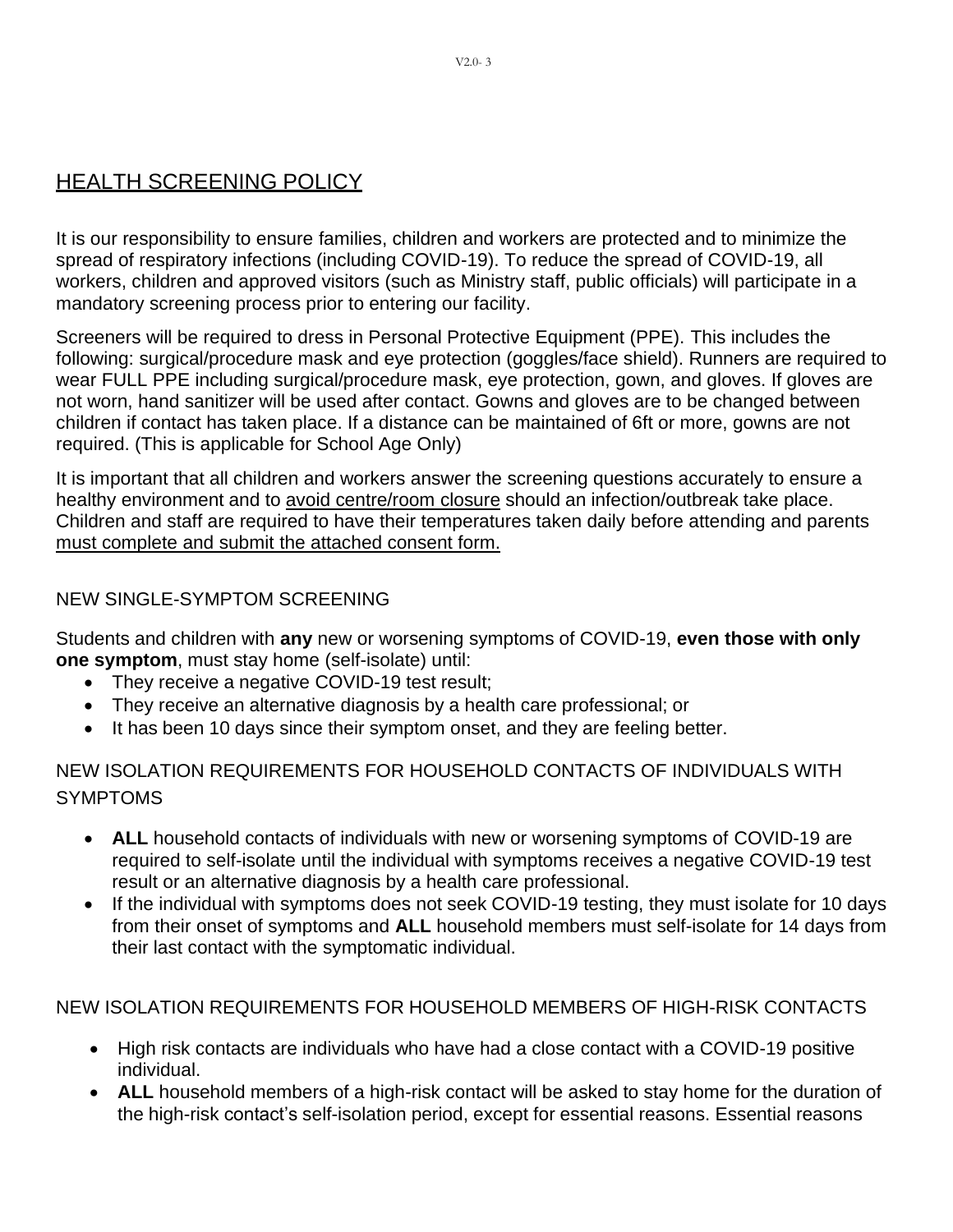## <span id="page-3-0"></span>HEALTH SCREENING POLICY

It is our responsibility to ensure families, children and workers are protected and to minimize the spread of respiratory infections (including COVID-19). To reduce the spread of COVID-19, all workers, children and approved visitors (such as Ministry staff, public officials) will participate in a mandatory screening process prior to entering our facility.

Screeners will be required to dress in Personal Protective Equipment (PPE). This includes the following: surgical/procedure mask and eye protection (goggles/face shield). Runners are required to wear FULL PPE including surgical/procedure mask, eye protection, gown, and gloves. If gloves are not worn, hand sanitizer will be used after contact. Gowns and gloves are to be changed between children if contact has taken place. If a distance can be maintained of 6ft or more, gowns are not required. (This is applicable for School Age Only)

It is important that all children and workers answer the screening questions accurately to ensure a healthy environment and to avoid centre/room closure should an infection/outbreak take place. Children and staff are required to have their temperatures taken daily before attending and parents must complete and submit the attached consent form.

#### NEW SINGLE-SYMPTOM SCREENING

Students and children with **any** new or worsening symptoms of COVID-19, **even those with only one symptom**, must stay home (self-isolate) until:

- They receive a negative COVID-19 test result;
- They receive an alternative diagnosis by a health care professional; or
- It has been 10 days since their symptom onset, and they are feeling better.

NEW ISOLATION REQUIREMENTS FOR HOUSEHOLD CONTACTS OF INDIVIDUALS WITH SYMPTOMS

- **ALL** household contacts of individuals with new or worsening symptoms of COVID-19 are required to self-isolate until the individual with symptoms receives a negative COVID-19 test result or an alternative diagnosis by a health care professional.
- If the individual with symptoms does not seek COVID-19 testing, they must isolate for 10 days from their onset of symptoms and **ALL** household members must self-isolate for 14 days from their last contact with the symptomatic individual.

NEW ISOLATION REQUIREMENTS FOR HOUSEHOLD MEMBERS OF HIGH-RISK CONTACTS

- High risk contacts are individuals who have had a close contact with a COVID-19 positive individual.
- **ALL** household members of a high-risk contact will be asked to stay home for the duration of the high-risk contact's self-isolation period, except for essential reasons. Essential reasons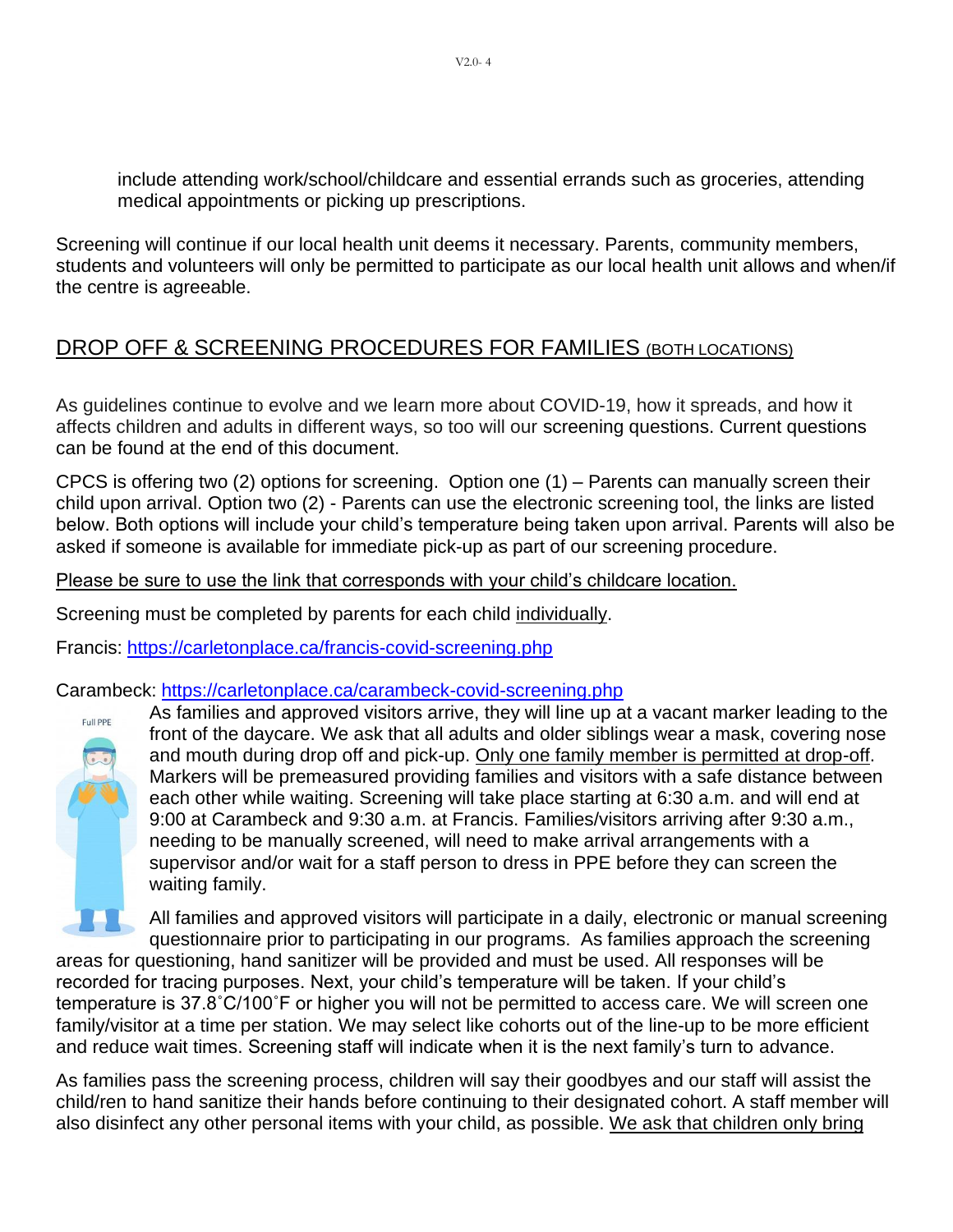include attending work/school/childcare and essential errands such as groceries, attending medical appointments or picking up prescriptions.

Screening will continue if our local health unit deems it necessary. Parents, community members, students and volunteers will only be permitted to participate as our local health unit allows and when/if the centre is agreeable.

## <span id="page-4-0"></span>DROP OFF & SCREENING PROCEDURES FOR FAMILIES (BOTH LOCATIONS)

As guidelines continue to evolve and we learn more about COVID-19, how it spreads, and how it affects children and adults in different ways, so too will our screening questions. Current questions can be found at the end of this document.

CPCS is offering two (2) options for screening. Option one (1) – Parents can manually screen their child upon arrival. Option two (2) - Parents can use the electronic screening tool, the links are listed below. Both options will include your child's temperature being taken upon arrival. Parents will also be asked if someone is available for immediate pick-up as part of our screening procedure.

Please be sure to use the link that corresponds with your child's childcare location.

Screening must be completed by parents for each child individually.

Francis: <https://carletonplace.ca/francis-covid-screening.php>

Carambeck: <https://carletonplace.ca/carambeck-covid-screening.php>



As families and approved visitors arrive, they will line up at a vacant marker leading to the front of the daycare. We ask that all adults and older siblings wear a mask, covering nose and mouth during drop off and pick-up. Only one family member is permitted at drop-off. Markers will be premeasured providing families and visitors with a safe distance between each other while waiting. Screening will take place starting at 6:30 a.m. and will end at 9:00 at Carambeck and 9:30 a.m. at Francis. Families/visitors arriving after 9:30 a.m., needing to be manually screened, will need to make arrival arrangements with a supervisor and/or wait for a staff person to dress in PPE before they can screen the waiting family.

All families and approved visitors will participate in a daily, electronic or manual screening questionnaire prior to participating in our programs. As families approach the screening

areas for questioning, hand sanitizer will be provided and must be used. All responses will be recorded for tracing purposes. Next, your child's temperature will be taken. If your child's temperature is 37.8˚C/100˚F or higher you will not be permitted to access care. We will screen one family/visitor at a time per station. We may select like cohorts out of the line-up to be more efficient and reduce wait times. Screening staff will indicate when it is the next family's turn to advance.

As families pass the screening process, children will say their goodbyes and our staff will assist the child/ren to hand sanitize their hands before continuing to their designated cohort. A staff member will also disinfect any other personal items with your child, as possible. We ask that children only bring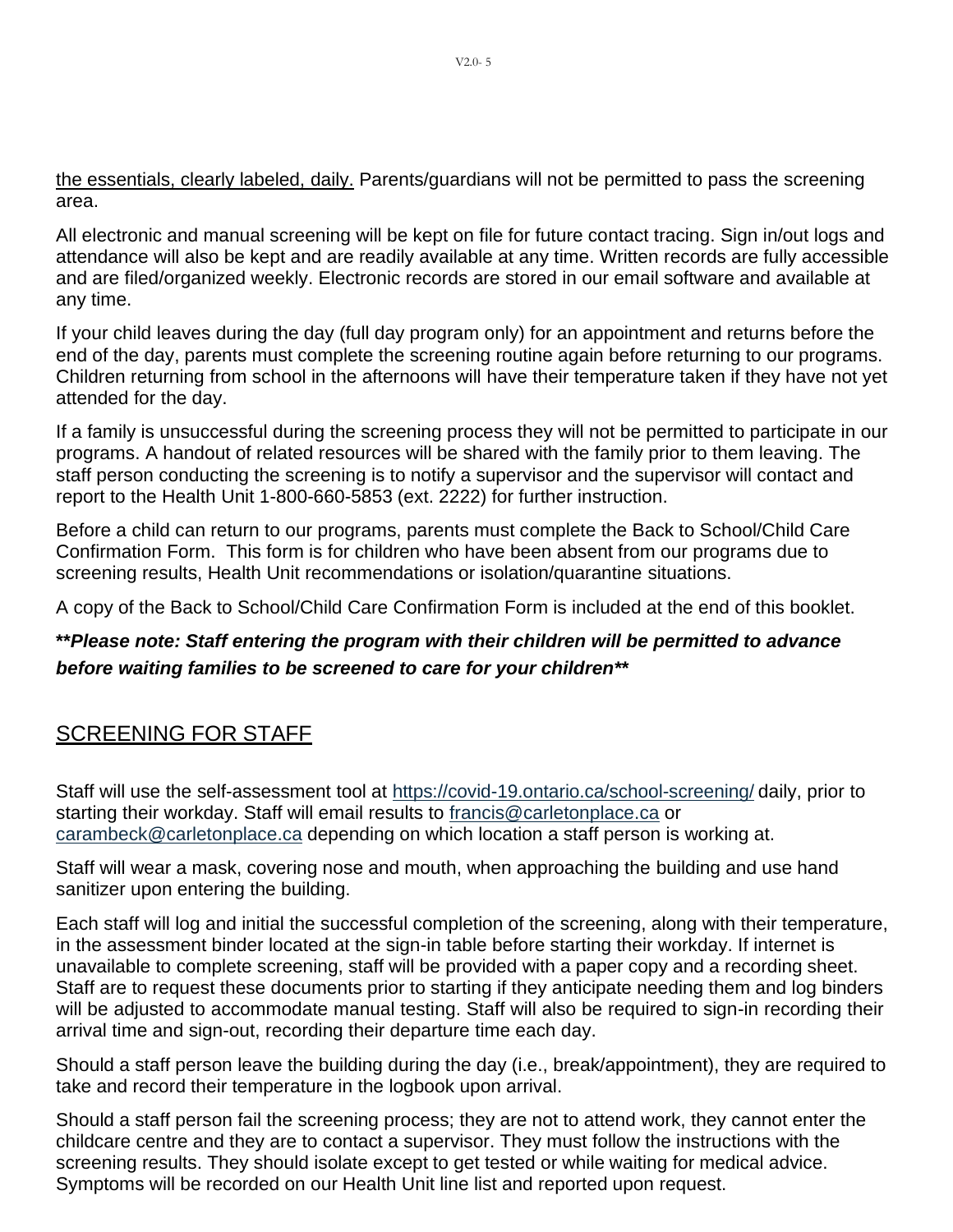the essentials, clearly labeled, daily. Parents/guardians will not be permitted to pass the screening area.

All electronic and manual screening will be kept on file for future contact tracing. Sign in/out logs and attendance will also be kept and are readily available at any time. Written records are fully accessible and are filed/organized weekly. Electronic records are stored in our email software and available at any time.

If your child leaves during the day (full day program only) for an appointment and returns before the end of the day, parents must complete the screening routine again before returning to our programs. Children returning from school in the afternoons will have their temperature taken if they have not yet attended for the day.

If a family is unsuccessful during the screening process they will not be permitted to participate in our programs. A handout of related resources will be shared with the family prior to them leaving. The staff person conducting the screening is to notify a supervisor and the supervisor will contact and report to the Health Unit 1-800-660-5853 (ext. 2222) for further instruction.

Before a child can return to our programs, parents must complete the Back to School/Child Care Confirmation Form. This form is for children who have been absent from our programs due to screening results, Health Unit recommendations or isolation/quarantine situations.

A copy of the Back to School/Child Care Confirmation Form is included at the end of this booklet.

#### **\*\****Please note: Staff entering the program with their children will be permitted to advance before waiting families to be screened to care for your children\*\**

## <span id="page-5-0"></span>SCREENING FOR STAFF

Staff will use the self-assessment tool at <https://covid-19.ontario.ca/school-screening/> daily, prior to starting their workday. Staff will email results to [francis@carletonplace.ca](mailto:francis@carletonplace.ca) or [carambeck@carletonplace.ca](mailto:carambeck@carletonplace.ca) depending on which location a staff person is working at.

Staff will wear a mask, covering nose and mouth, when approaching the building and use hand sanitizer upon entering the building.

Each staff will log and initial the successful completion of the screening, along with their temperature, in the assessment binder located at the sign-in table before starting their workday. If internet is unavailable to complete screening, staff will be provided with a paper copy and a recording sheet. Staff are to request these documents prior to starting if they anticipate needing them and log binders will be adjusted to accommodate manual testing. Staff will also be required to sign-in recording their arrival time and sign-out, recording their departure time each day.

Should a staff person leave the building during the day (i.e., break/appointment), they are required to take and record their temperature in the logbook upon arrival.

Should a staff person fail the screening process; they are not to attend work, they cannot enter the childcare centre and they are to contact a supervisor. They must follow the instructions with the screening results. They should isolate except to get tested or while waiting for medical advice. Symptoms will be recorded on our Health Unit line list and reported upon request.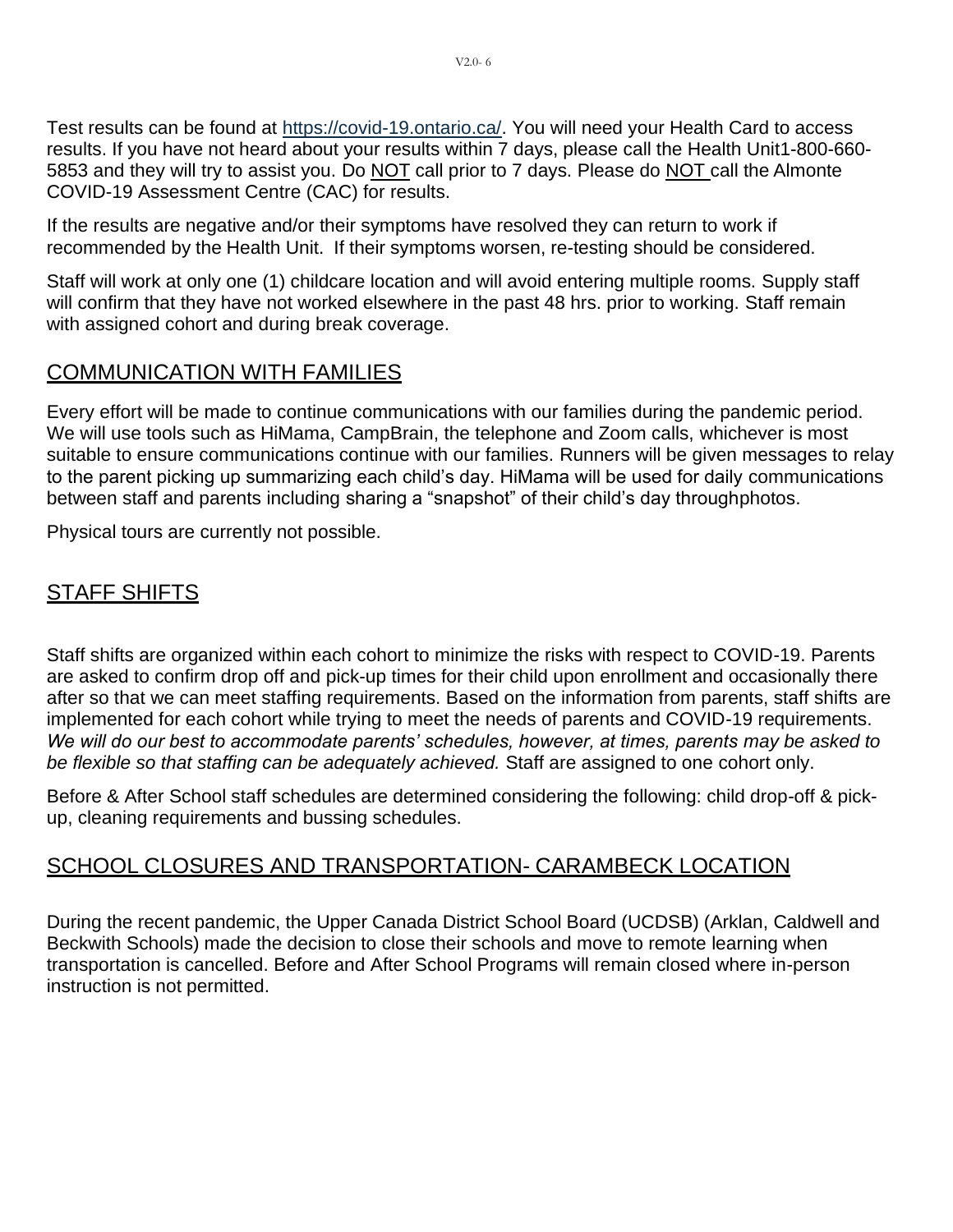Test results can be found at [https://covid-19.ontario.ca/.](https://covid-19.ontario.ca/) You will need your Health Card to access results. If you have not heard about your results within 7 days, please call the Health Unit1-800-660- 5853 and they will try to assist you. Do NOT call prior to 7 days. Please do NOT call the Almonte COVID-19 Assessment Centre (CAC) for results.

If the results are negative and/or their symptoms have resolved they can return to work if recommended by the Health Unit. If their symptoms worsen, re-testing should be considered.

Staff will work at only one (1) childcare location and will avoid entering multiple rooms. Supply staff will confirm that they have not worked elsewhere in the past 48 hrs. prior to working. Staff remain with assigned cohort and during break coverage.

#### COMMUNICATION WITH FAMILIES

Every effort will be made to continue communications with our families during the pandemic period. We will use tools such as HiMama, CampBrain, the telephone and Zoom calls, whichever is most suitable to ensure communications continue with our families. Runners will be given messages to relay to the parent picking up summarizing each child's day. HiMama will be used for daily communications between staff and parents including sharing a "snapshot" of their child's day throughphotos.

Physical tours are currently not possible.

## <span id="page-6-0"></span>**STAFF SHIFTS**

Staff shifts are organized within each cohort to minimize the risks with respect to COVID-19. Parents are asked to confirm drop off and pick-up times for their child upon enrollment and occasionally there after so that we can meet staffing requirements. Based on the information from parents, staff shifts are implemented for each cohort while trying to meet the needs of parents and COVID-19 requirements. *We will do our best to accommodate parents' schedules, however, at times, parents may be asked to be flexible so that staffing can be adequately achieved.* Staff are assigned to one cohort only.

Before & After School staff schedules are determined considering the following: child drop-off & pickup, cleaning requirements and bussing schedules.

## SCHOOL CLOSURES AND TRANSPORTATION- CARAMBECK LOCATION

During the recent pandemic, the Upper Canada District School Board (UCDSB) (Arklan, Caldwell and Beckwith Schools) made the decision to close their schools and move to remote learning when transportation is cancelled. Before and After School Programs will remain closed where in-person instruction is not permitted.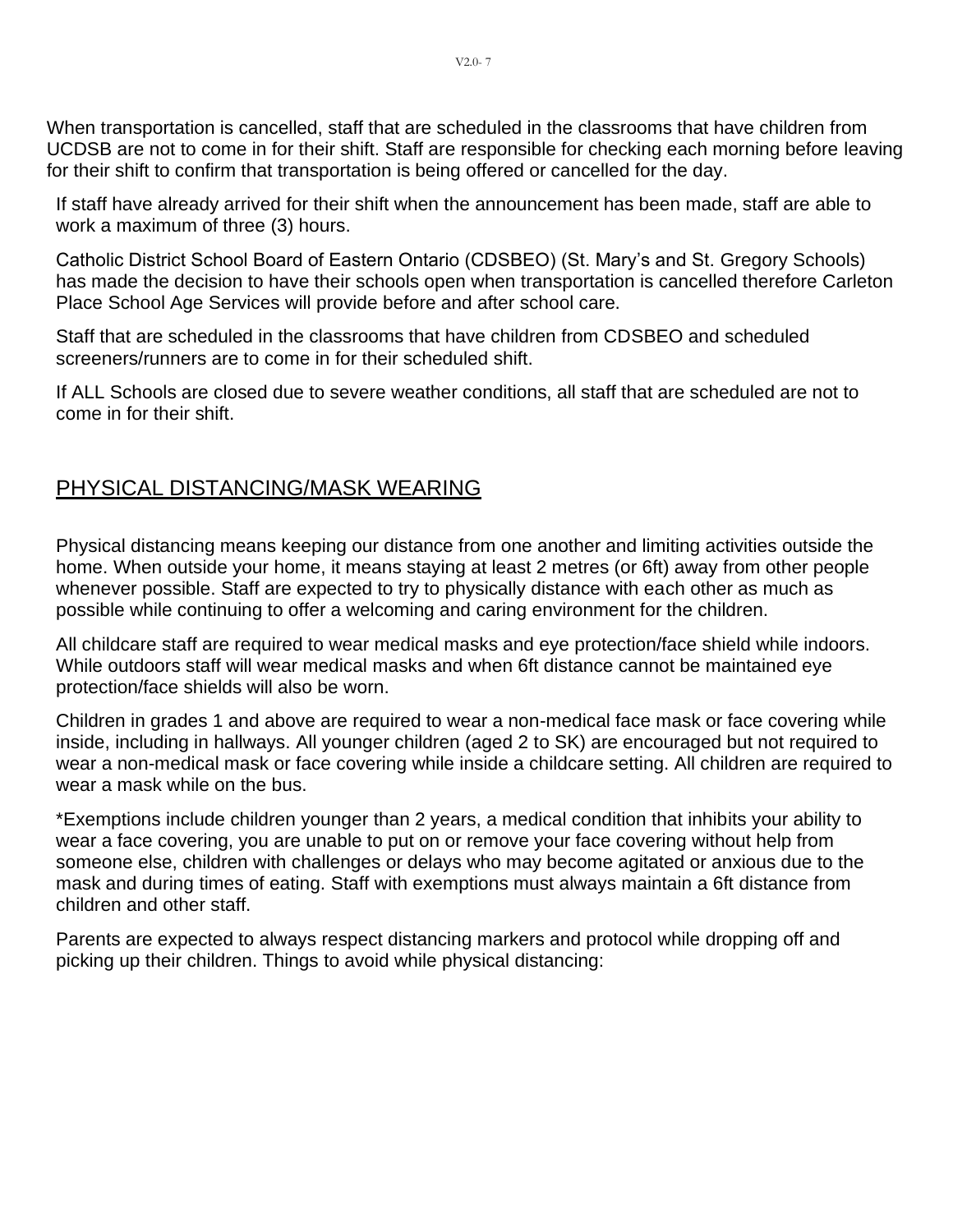<span id="page-7-0"></span>When transportation is cancelled, staff that are scheduled in the classrooms that have children from UCDSB are not to come in for their shift. Staff are responsible for checking each morning before leaving for their shift to confirm that transportation is being offered or cancelled for the day.

If staff have already arrived for their shift when the announcement has been made, staff are able to work a maximum of three (3) hours.

Catholic District School Board of Eastern Ontario (CDSBEO) (St. Mary's and St. Gregory Schools) has made the decision to have their schools open when transportation is cancelled therefore Carleton Place School Age Services will provide before and after school care.

Staff that are scheduled in the classrooms that have children from CDSBEO and scheduled screeners/runners are to come in for their scheduled shift.

If ALL Schools are closed due to severe weather conditions, all staff that are scheduled are not to come in for their shift.

### <span id="page-7-1"></span>PHYSICAL DISTANCING/MASK WEARING

Physical distancing means keeping our distance from one another and limiting activities outside the home. When outside your home, it means staying at least 2 metres (or 6ft) away from other people whenever possible. Staff are expected to try to physically distance with each other as much as possible while continuing to offer a welcoming and caring environment for the children.

All childcare staff are required to wear medical masks and eye protection/face shield while indoors. While outdoors staff will wear medical masks and when 6ft distance cannot be maintained eye protection/face shields will also be worn.

Children in grades 1 and above are required to wear a non-medical face mask or face covering while inside, including in hallways. All younger children (aged 2 to SK) are encouraged but not required to wear a non-medical mask or face covering while inside a childcare setting. All children are required to wear a mask while on the bus.

\*Exemptions include children younger than 2 years, a medical condition that inhibits your ability to wear a face covering, you are unable to put on or remove your face covering without help from someone else, children with challenges or delays who may become agitated or anxious due to the mask and during times of eating. Staff with exemptions must always maintain a 6ft distance from children and other staff.

Parents are expected to always respect distancing markers and protocol while dropping off and picking up their children. Things to avoid while physical distancing: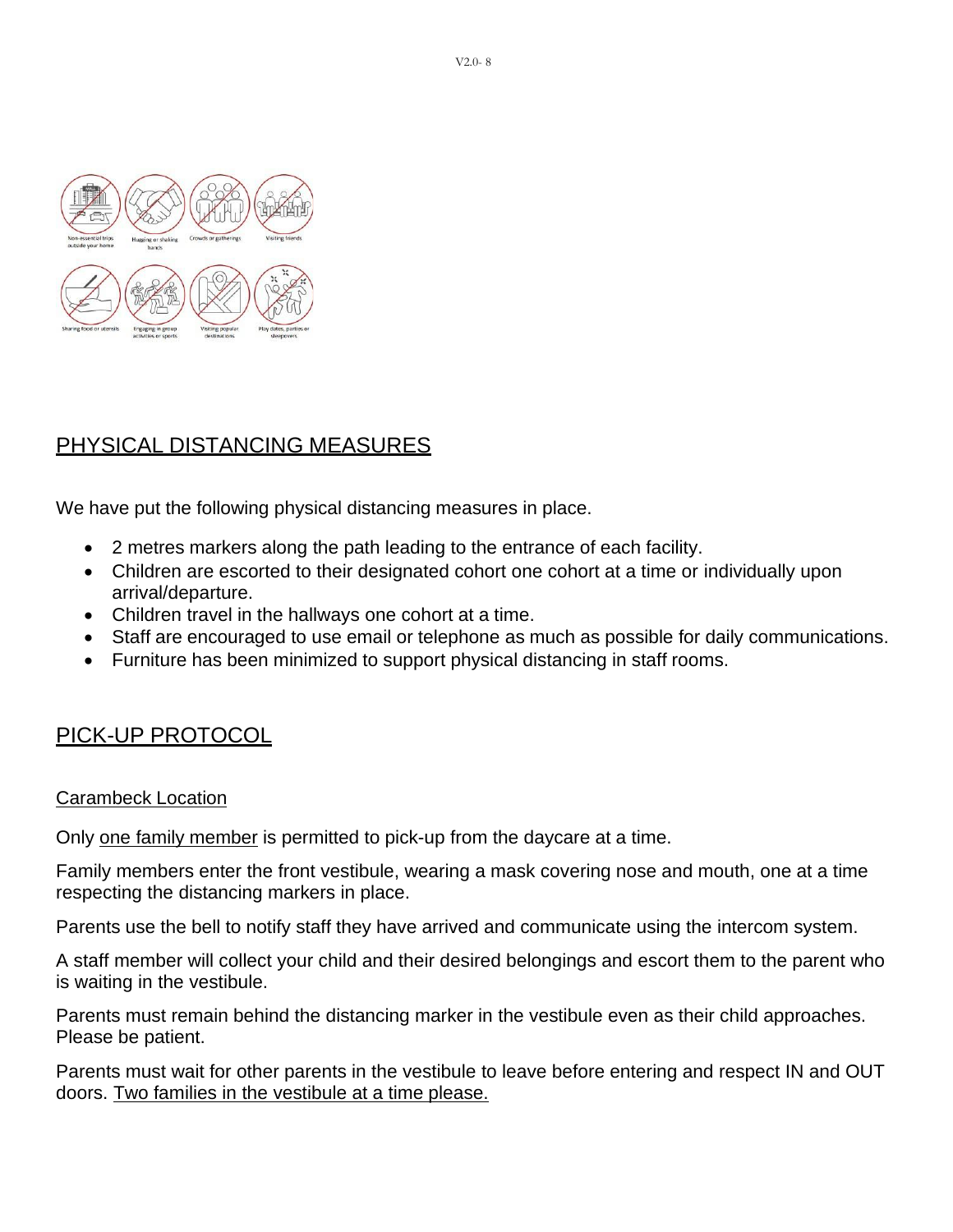

## <span id="page-8-0"></span>PHYSICAL DISTANCING MEASURES

We have put the following physical distancing measures in place.

- 2 metres markers along the path leading to the entrance of each facility.
- Children are escorted to their designated cohort one cohort at a time or individually upon arrival/departure.
- Children travel in the hallways one cohort at a time.
- Staff are encouraged to use email or telephone as much as possible for daily communications.
- Furniture has been minimized to support physical distancing in staff rooms.

### <span id="page-8-1"></span>PICK-UP PROTOCOL

#### Carambeck Location

Only one family member is permitted to pick-up from the daycare at a time.

Family members enter the front vestibule, wearing a mask covering nose and mouth, one at a time respecting the distancing markers in place.

Parents use the bell to notify staff they have arrived and communicate using the intercom system.

A staff member will collect your child and their desired belongings and escort them to the parent who is waiting in the vestibule.

Parents must remain behind the distancing marker in the vestibule even as their child approaches. Please be patient.

Parents must wait for other parents in the vestibule to leave before entering and respect IN and OUT doors. Two families in the vestibule at a time please.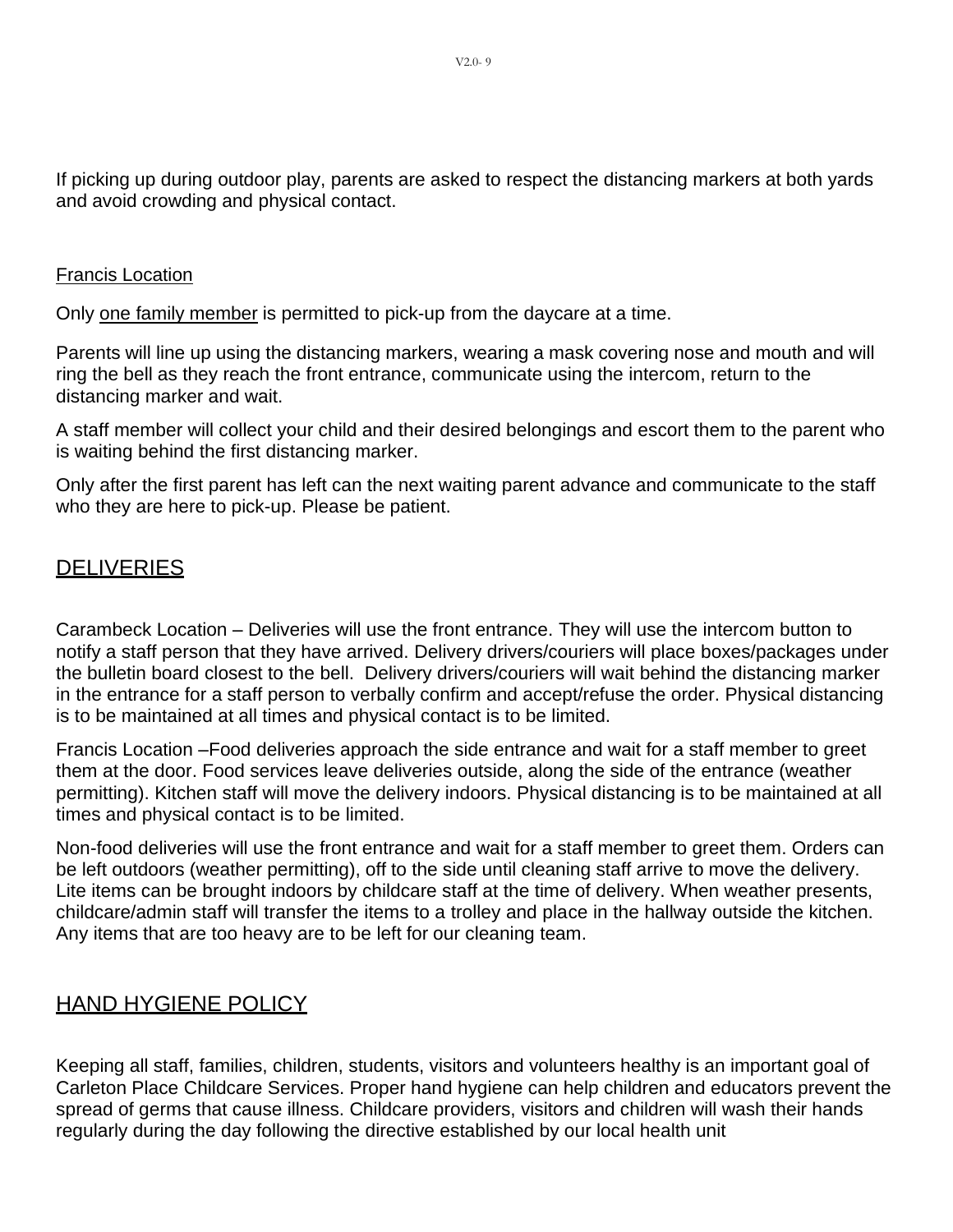If picking up during outdoor play, parents are asked to respect the distancing markers at both yards and avoid crowding and physical contact.

#### Francis Location

Only one family member is permitted to pick-up from the daycare at a time.

Parents will line up using the distancing markers, wearing a mask covering nose and mouth and will ring the bell as they reach the front entrance, communicate using the intercom, return to the distancing marker and wait.

A staff member will collect your child and their desired belongings and escort them to the parent who is waiting behind the first distancing marker.

Only after the first parent has left can the next waiting parent advance and communicate to the staff who they are here to pick-up. Please be patient.

#### <span id="page-9-0"></span>**DELIVERIES**

Carambeck Location – Deliveries will use the front entrance. They will use the intercom button to notify a staff person that they have arrived. Delivery drivers/couriers will place boxes/packages under the bulletin board closest to the bell. Delivery drivers/couriers will wait behind the distancing marker in the entrance for a staff person to verbally confirm and accept/refuse the order. Physical distancing is to be maintained at all times and physical contact is to be limited.

Francis Location –Food deliveries approach the side entrance and wait for a staff member to greet them at the door. Food services leave deliveries outside, along the side of the entrance (weather permitting). Kitchen staff will move the delivery indoors. Physical distancing is to be maintained at all times and physical contact is to be limited.

Non-food deliveries will use the front entrance and wait for a staff member to greet them. Orders can be left outdoors (weather permitting), off to the side until cleaning staff arrive to move the delivery. Lite items can be brought indoors by childcare staff at the time of delivery. When weather presents, childcare/admin staff will transfer the items to a trolley and place in the hallway outside the kitchen. Any items that are too heavy are to be left for our cleaning team.

#### <span id="page-9-1"></span>HAND HYGIENE POLICY

Keeping all staff, families, children, students, visitors and volunteers healthy is an important goal of Carleton Place Childcare Services. Proper hand hygiene can help children and educators prevent the spread of germs that cause illness. Childcare providers, visitors and children will wash their hands regularly during the day following the directive established by our local health unit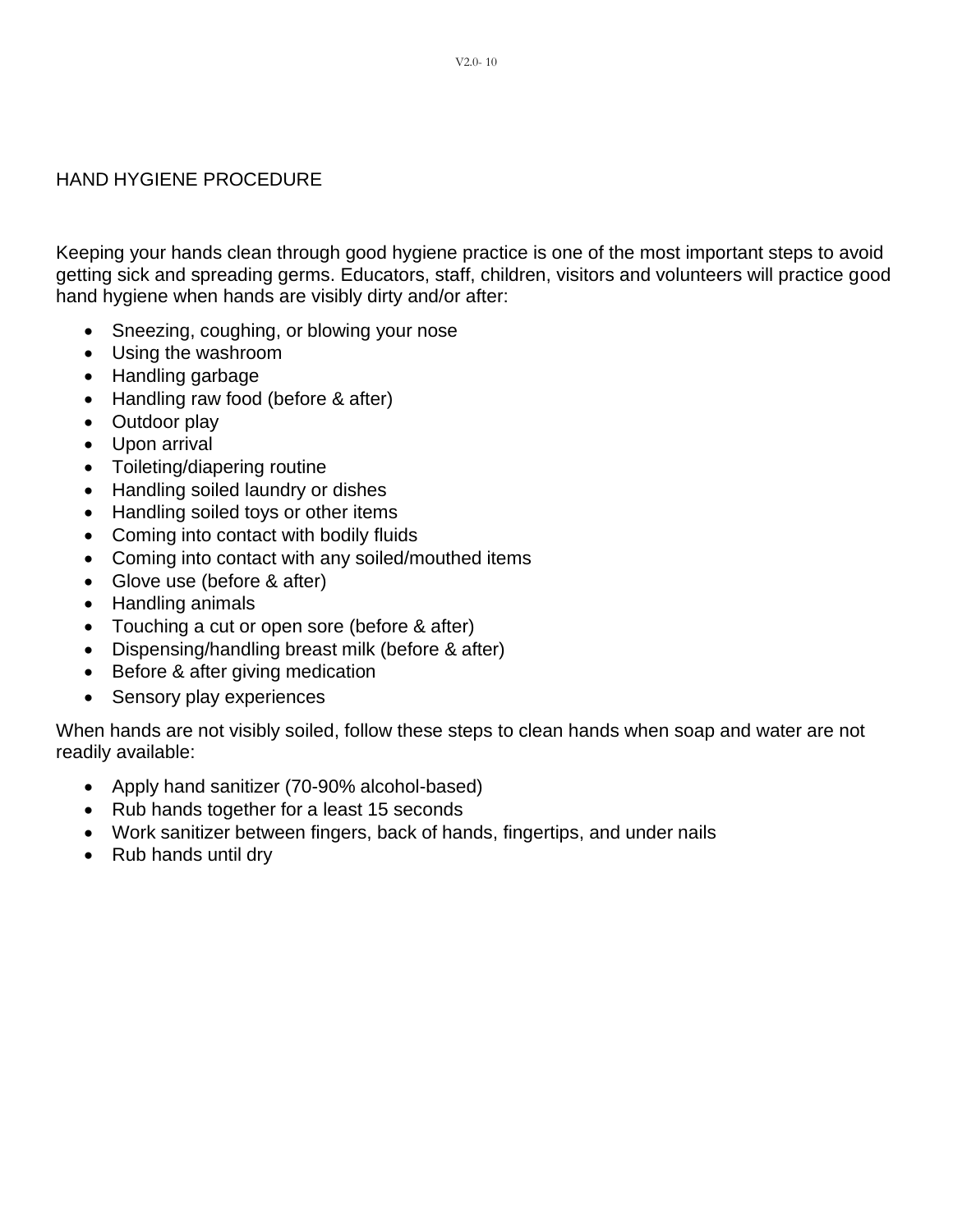#### HAND HYGIENE PROCEDURE

Keeping your hands clean through good hygiene practice is one of the most important steps to avoid getting sick and spreading germs. Educators, staff, children, visitors and volunteers will practice good hand hygiene when hands are visibly dirty and/or after:

- Sneezing, coughing, or blowing your nose
- Using the washroom
- Handling garbage
- Handling raw food (before & after)
- Outdoor play
- Upon arrival
- Toileting/diapering routine
- Handling soiled laundry or dishes
- Handling soiled toys or other items
- Coming into contact with bodily fluids
- Coming into contact with any soiled/mouthed items
- Glove use (before & after)
- Handling animals
- Touching a cut or open sore (before & after)
- Dispensing/handling breast milk (before & after)
- Before & after giving medication
- Sensory play experiences

When hands are not visibly soiled, follow these steps to clean hands when soap and water are not readily available:

- Apply hand sanitizer (70-90% alcohol-based)
- Rub hands together for a least 15 seconds
- Work sanitizer between fingers, back of hands, fingertips, and under nails
- Rub hands until dry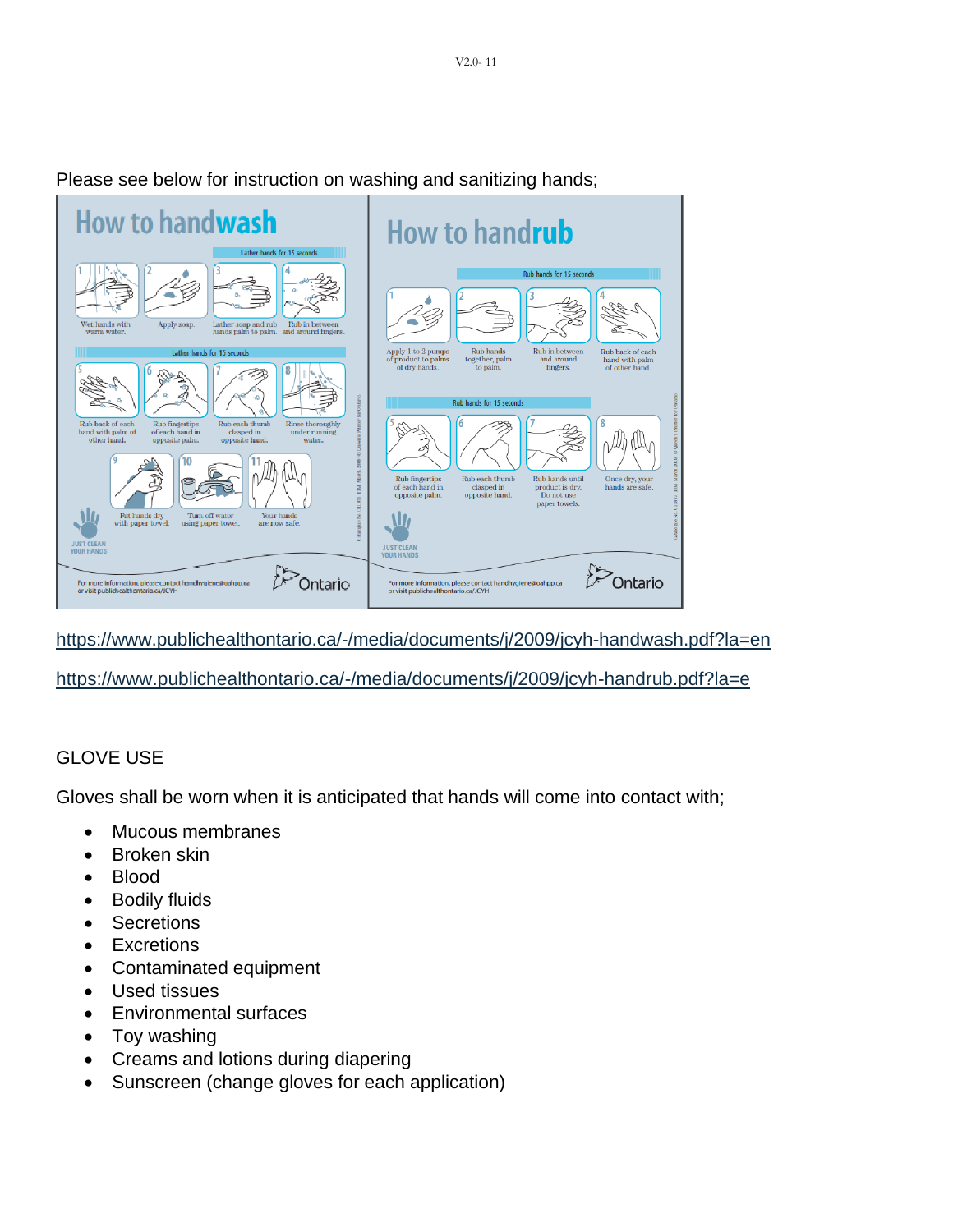

Please see below for instruction on washing and sanitizing hands;

<https://www.publichealthontario.ca/-/media/documents/j/2009/jcyh-handwash.pdf?la=en>

<https://www.publichealthontario.ca/-/media/documents/j/2009/jcyh-handrub.pdf?la=e>

#### GLOVE USE

Gloves shall be worn when it is anticipated that hands will come into contact with;

- Mucous membranes
- Broken skin
- Blood
- Bodily fluids
- Secretions
- Excretions
- Contaminated equipment
- Used tissues
- Environmental surfaces
- Toy washing
- Creams and lotions during diapering
- Sunscreen (change gloves for each application)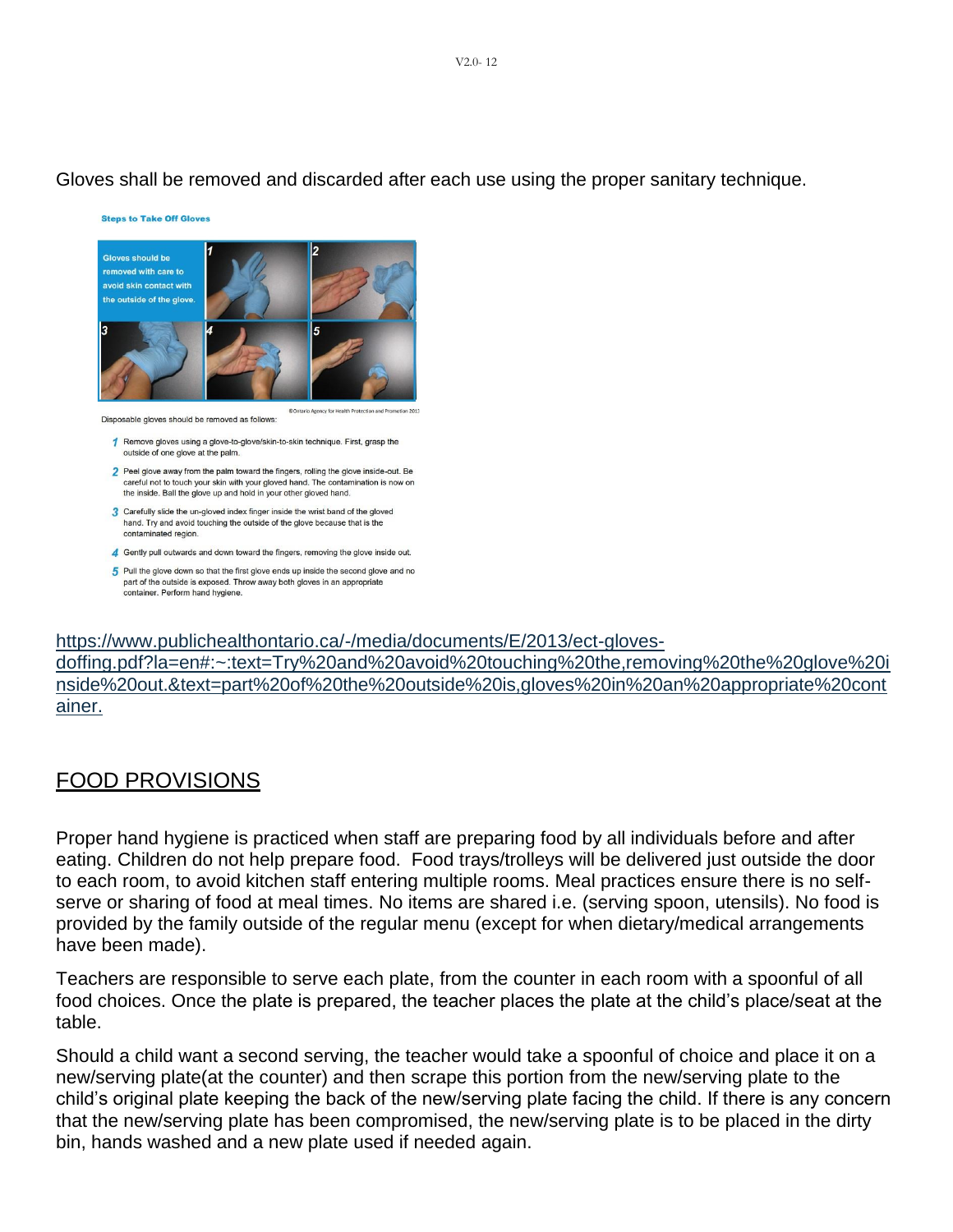#### Gloves shall be removed and discarded after each use using the proper sanitary technique.

**Steps to Take Off Gloves** 



Disposable gloves should be removed as follows

1 Remove gloves using a glove-to-glove/skin-to-skin technique. First, grasp the outside of one glove at the palm.

2 Peel glove away from the palm toward the fingers, rolling the glove inside-out. Be careful not to touch your skin with your gloved hand. The contamination is now on the inside. Ball the glove up and hold in your other gloved hand.

- 3 Carefully slide the un-gloved index finger inside the wrist band of the gloved hand. Try and avoid touching the outside of the glove because that is the contaminated region
- 4 Gently pull outwards and down toward the fingers, removing the glove inside out.
- 5 Pull the glove down so that the first glove ends up inside the second glove and no part of the outside is exposed. Throw away both gloves in an appropriate container. Perform hand hygiene.

[https://www.publichealthontario.ca/-/media/documents/E/2013/ect-gloves-](https://www.publichealthontario.ca/-/media/documents/E/2013/ect-gloves-doffing.pdf?la=en%23%3A%7E%3Atext%3DTry%20and%20avoid%20touching%20the%2Cremoving%20the%20glove%20inside%20out.&text=part%20of%20the%20outside%20is%2Cgloves%20in%20an%20appropriate%20container)

[doffing.pdf?la=en#:~:text=Try%20and%20avoid%20touching%20the,removing%20the%20glove%20i](https://www.publichealthontario.ca/-/media/documents/E/2013/ect-gloves-doffing.pdf?la=en%23%3A%7E%3Atext%3DTry%20and%20avoid%20touching%20the%2Cremoving%20the%20glove%20inside%20out.&text=part%20of%20the%20outside%20is%2Cgloves%20in%20an%20appropriate%20container) [nside%20out.&text=part%20of%20the%20outside%20is,gloves%20in%20an%20appropriate%20cont](https://www.publichealthontario.ca/-/media/documents/E/2013/ect-gloves-doffing.pdf?la=en%23%3A%7E%3Atext%3DTry%20and%20avoid%20touching%20the%2Cremoving%20the%20glove%20inside%20out.&text=part%20of%20the%20outside%20is%2Cgloves%20in%20an%20appropriate%20container) [ainer.](https://www.publichealthontario.ca/-/media/documents/E/2013/ect-gloves-doffing.pdf?la=en%23%3A%7E%3Atext%3DTry%20and%20avoid%20touching%20the%2Cremoving%20the%20glove%20inside%20out.&text=part%20of%20the%20outside%20is%2Cgloves%20in%20an%20appropriate%20container)

#### <span id="page-12-0"></span>FOOD PROVISIONS

Proper hand hygiene is practiced when staff are preparing food by all individuals before and after eating. Children do not help prepare food. Food trays/trolleys will be delivered just outside the door to each room, to avoid kitchen staff entering multiple rooms. Meal practices ensure there is no selfserve or sharing of food at meal times. No items are shared i.e. (serving spoon, utensils). No food is provided by the family outside of the regular menu (except for when dietary/medical arrangements have been made).

Teachers are responsible to serve each plate, from the counter in each room with a spoonful of all food choices. Once the plate is prepared, the teacher places the plate at the child's place/seat at the table.

Should a child want a second serving, the teacher would take a spoonful of choice and place it on a new/serving plate(at the counter) and then scrape this portion from the new/serving plate to the child's original plate keeping the back of the new/serving plate facing the child. If there is any concern that the new/serving plate has been compromised, the new/serving plate is to be placed in the dirty bin, hands washed and a new plate used if needed again.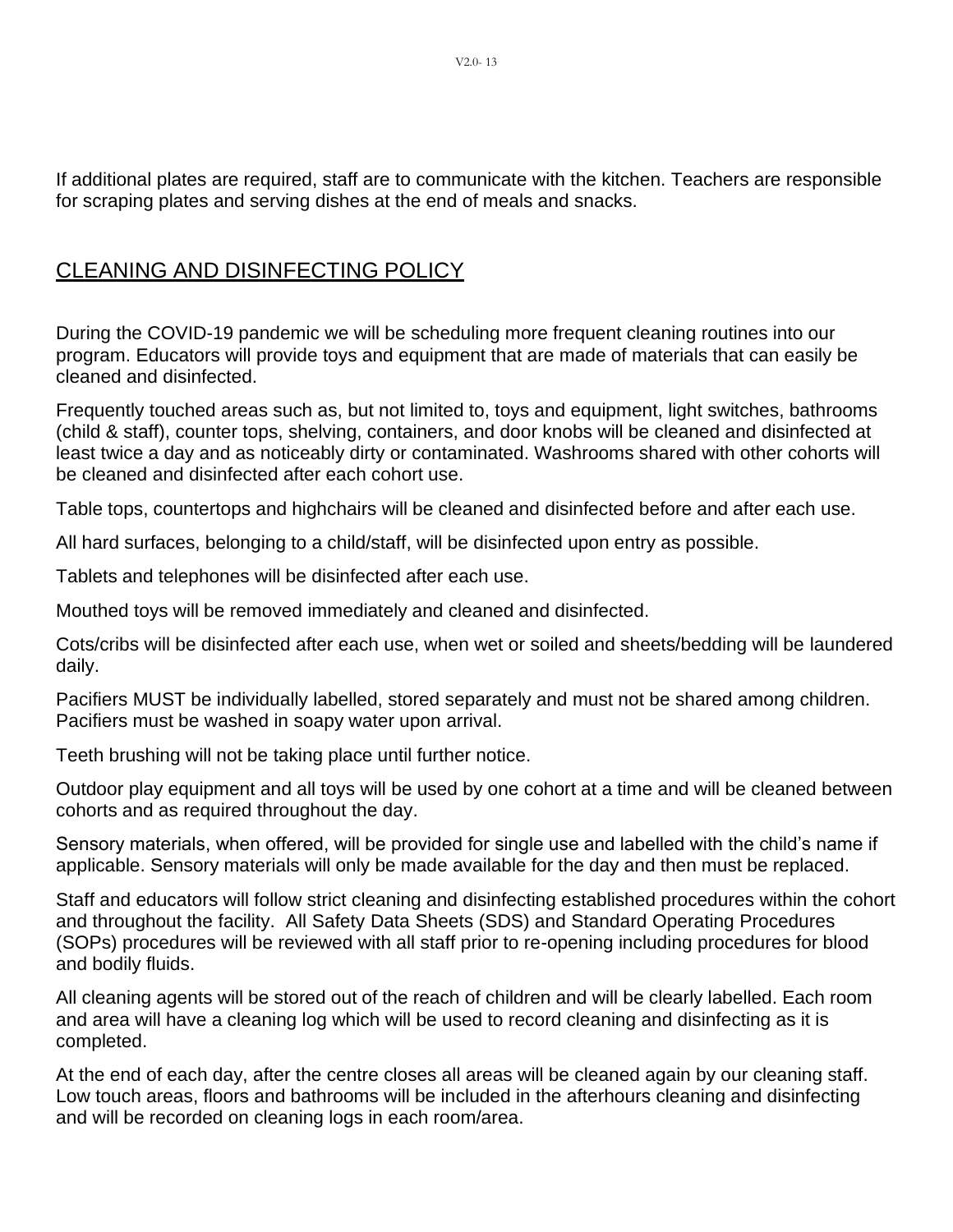If additional plates are required, staff are to communicate with the kitchen. Teachers are responsible for scraping plates and serving dishes at the end of meals and snacks.

#### <span id="page-13-0"></span>CLEANING AND DISINFECTING POLICY

During the COVID-19 pandemic we will be scheduling more frequent cleaning routines into our program. Educators will provide toys and equipment that are made of materials that can easily be cleaned and disinfected.

Frequently touched areas such as, but not limited to, toys and equipment, light switches, bathrooms (child & staff), counter tops, shelving, containers, and door knobs will be cleaned and disinfected at least twice a day and as noticeably dirty or contaminated. Washrooms shared with other cohorts will be cleaned and disinfected after each cohort use.

Table tops, countertops and highchairs will be cleaned and disinfected before and after each use.

All hard surfaces, belonging to a child/staff, will be disinfected upon entry as possible.

Tablets and telephones will be disinfected after each use.

Mouthed toys will be removed immediately and cleaned and disinfected.

Cots/cribs will be disinfected after each use, when wet or soiled and sheets/bedding will be laundered daily.

Pacifiers MUST be individually labelled, stored separately and must not be shared among children. Pacifiers must be washed in soapy water upon arrival.

Teeth brushing will not be taking place until further notice.

Outdoor play equipment and all toys will be used by one cohort at a time and will be cleaned between cohorts and as required throughout the day.

Sensory materials, when offered, will be provided for single use and labelled with the child's name if applicable. Sensory materials will only be made available for the day and then must be replaced.

Staff and educators will follow strict cleaning and disinfecting established procedures within the cohort and throughout the facility. All Safety Data Sheets (SDS) and Standard Operating Procedures (SOPs) procedures will be reviewed with all staff prior to re-opening including procedures for blood and bodily fluids.

All cleaning agents will be stored out of the reach of children and will be clearly labelled. Each room and area will have a cleaning log which will be used to record cleaning and disinfecting as it is completed.

At the end of each day, after the centre closes all areas will be cleaned again by our cleaning staff. Low touch areas, floors and bathrooms will be included in the afterhours cleaning and disinfecting and will be recorded on cleaning logs in each room/area.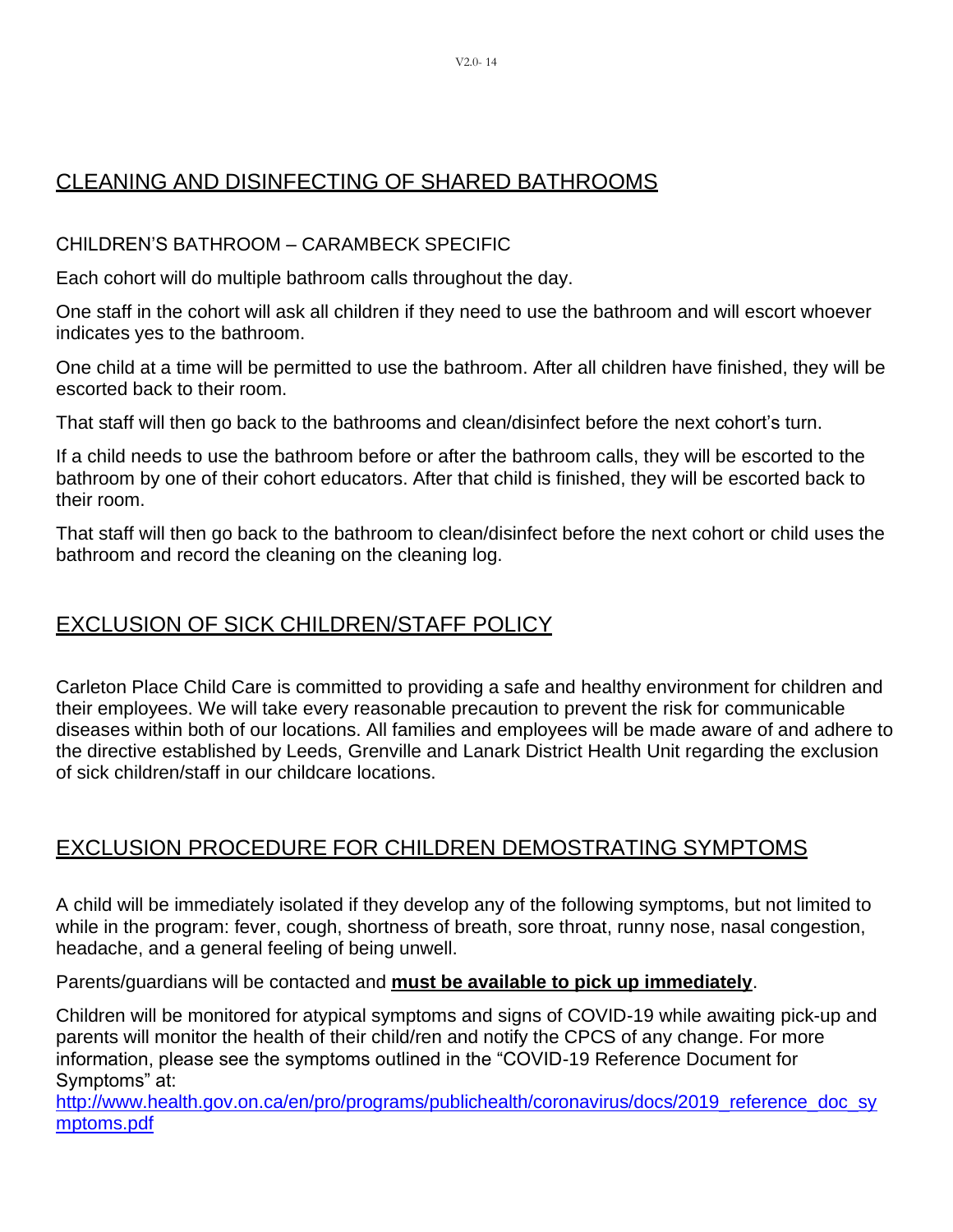## <span id="page-14-0"></span>CLEANING AND DISINFECTING OF SHARED BATHROOMS

#### CHILDREN'S BATHROOM – CARAMBECK SPECIFIC

Each cohort will do multiple bathroom calls throughout the day.

One staff in the cohort will ask all children if they need to use the bathroom and will escort whoever indicates yes to the bathroom.

One child at a time will be permitted to use the bathroom. After all children have finished, they will be escorted back to their room.

That staff will then go back to the bathrooms and clean/disinfect before the next cohort's turn.

If a child needs to use the bathroom before or after the bathroom calls, they will be escorted to the bathroom by one of their cohort educators. After that child is finished, they will be escorted back to their room.

That staff will then go back to the bathroom to clean/disinfect before the next cohort or child uses the bathroom and record the cleaning on the cleaning log.

#### <span id="page-14-1"></span>EXCLUSION OF SICK CHILDREN/STAFF POLICY

Carleton Place Child Care is committed to providing a safe and healthy environment for children and their employees. We will take every reasonable precaution to prevent the risk for communicable diseases within both of our locations. All families and employees will be made aware of and adhere to the directive established by Leeds, Grenville and Lanark District Health Unit regarding the exclusion of sick children/staff in our childcare locations.

### <span id="page-14-2"></span>EXCLUSION PROCEDURE FOR CHILDREN DEMOSTRATING SYMPTOMS

A child will be immediately isolated if they develop any of the following symptoms, but not limited to while in the program: fever, cough, shortness of breath, sore throat, runny nose, nasal congestion, headache, and a general feeling of being unwell.

Parents/guardians will be contacted and **must be available to pick up immediately**.

Children will be monitored for atypical symptoms and signs of COVID-19 while awaiting pick-up and parents will monitor the health of their child/ren and notify the CPCS of any change. For more information, please see the symptoms outlined in the "COVID-19 Reference Document for Symptoms" at:

[http://www.health.gov.on.ca/en/pro/programs/publichealth/coronavirus/docs/2019\\_reference\\_doc\\_sy](http://www.health.gov.on.ca/en/pro/programs/publichealth/coronavirus/docs/2019_reference_doc_symptoms.pdf) [mptoms.pdf](http://www.health.gov.on.ca/en/pro/programs/publichealth/coronavirus/docs/2019_reference_doc_symptoms.pdf)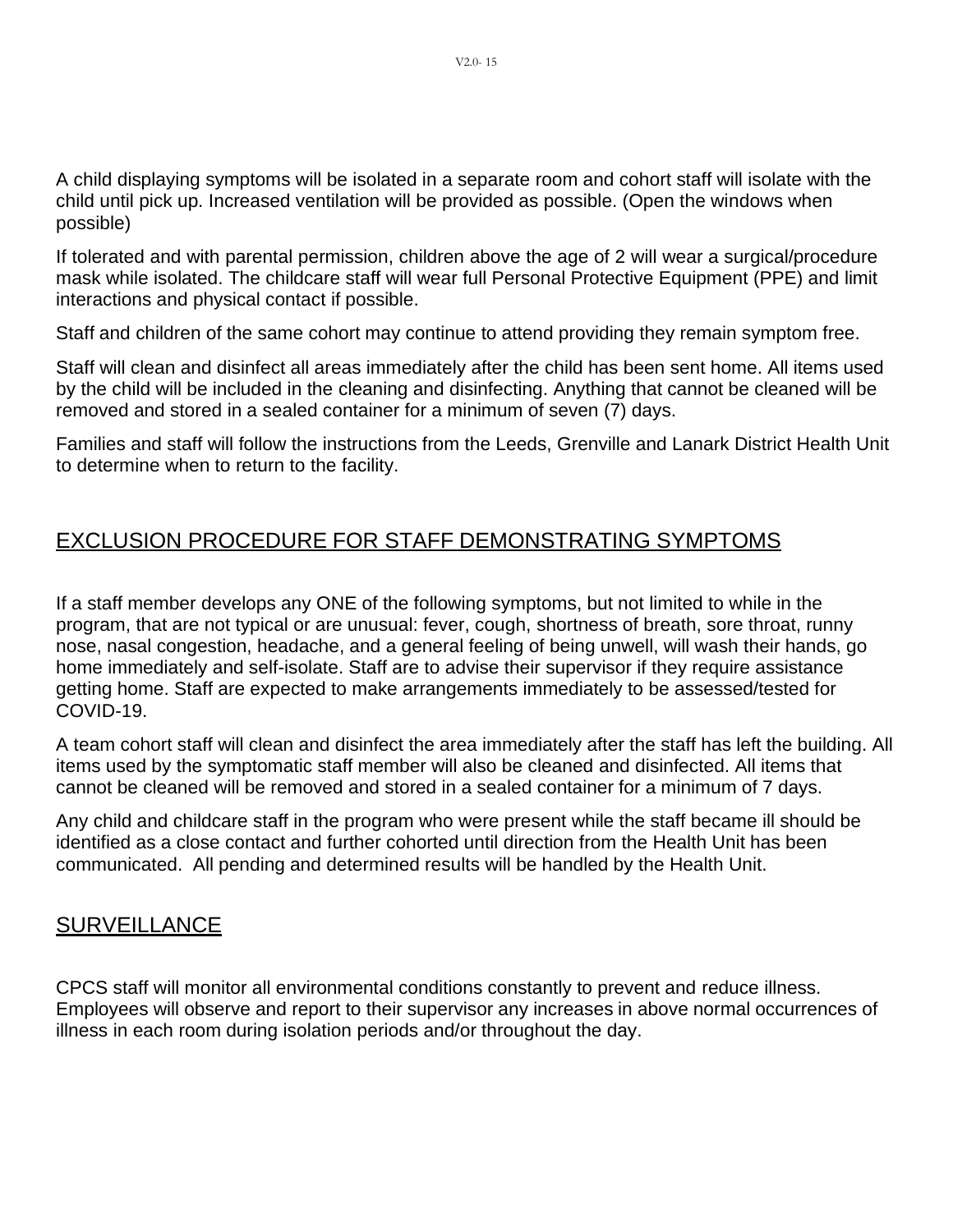A child displaying symptoms will be isolated in a separate room and cohort staff will isolate with the child until pick up. Increased ventilation will be provided as possible. (Open the windows when possible)

If tolerated and with parental permission, children above the age of 2 will wear a surgical/procedure mask while isolated. The childcare staff will wear full Personal Protective Equipment (PPE) and limit interactions and physical contact if possible.

Staff and children of the same cohort may continue to attend providing they remain symptom free.

Staff will clean and disinfect all areas immediately after the child has been sent home. All items used by the child will be included in the cleaning and disinfecting. Anything that cannot be cleaned will be removed and stored in a sealed container for a minimum of seven (7) days.

Families and staff will follow the instructions from the Leeds, Grenville and Lanark District Health Unit to determine when to return to the facility.

## <span id="page-15-0"></span>EXCLUSION PROCEDURE FOR STAFF DEMONSTRATING SYMPTOMS

If a staff member develops any ONE of the following symptoms, but not limited to while in the program, that are not typical or are unusual: fever, cough, shortness of breath, sore throat, runny nose, nasal congestion, headache, and a general feeling of being unwell, will wash their hands, go home immediately and self-isolate. Staff are to advise their supervisor if they require assistance getting home. Staff are expected to make arrangements immediately to be assessed/tested for COVID-19.

A team cohort staff will clean and disinfect the area immediately after the staff has left the building. All items used by the symptomatic staff member will also be cleaned and disinfected. All items that cannot be cleaned will be removed and stored in a sealed container for a minimum of 7 days.

Any child and childcare staff in the program who were present while the staff became ill should be identified as a close contact and further cohorted until direction from the Health Unit has been communicated. All pending and determined results will be handled by the Health Unit.

#### <span id="page-15-1"></span>SURVEILLANCE

CPCS staff will monitor all environmental conditions constantly to prevent and reduce illness. Employees will observe and report to their supervisor any increases in above normal occurrences of illness in each room during isolation periods and/or throughout the day.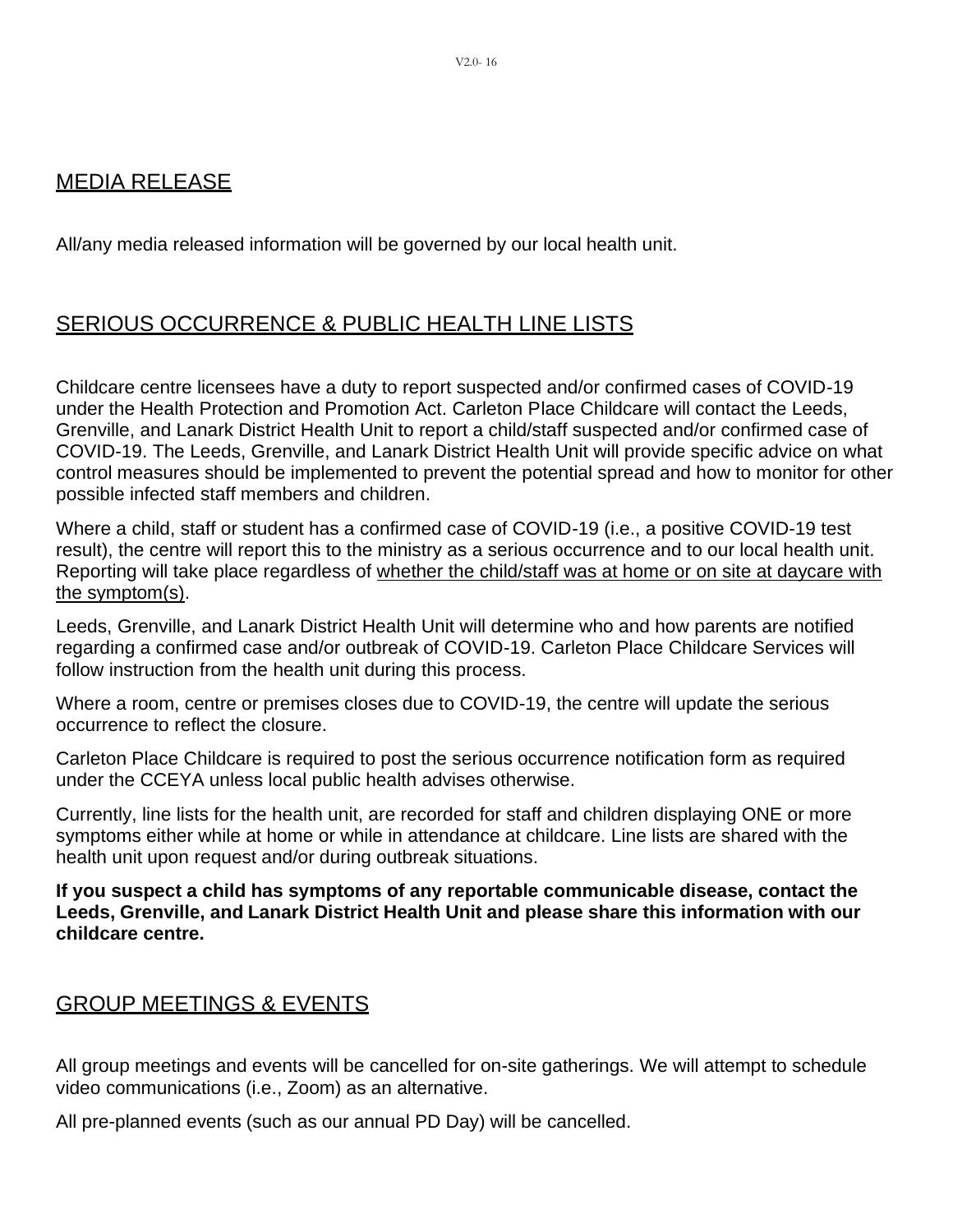#### <span id="page-16-0"></span>MEDIA RELEASE

All/any media released information will be governed by our local health unit.

### <span id="page-16-1"></span>SERIOUS OCCURRENCE & PUBLIC HEALTH LINE LISTS

Childcare centre licensees have a duty to report suspected and/or confirmed cases of COVID-19 under the Health Protection and Promotion Act. Carleton Place Childcare will contact the Leeds, Grenville, and Lanark District Health Unit to report a child/staff suspected and/or confirmed case of COVID-19. The Leeds, Grenville, and Lanark District Health Unit will provide specific advice on what control measures should be implemented to prevent the potential spread and how to monitor for other possible infected staff members and children.

Where a child, staff or student has a confirmed case of COVID-19 (i.e., a positive COVID-19 test result), the centre will report this to the ministry as a serious occurrence and to our local health unit. Reporting will take place regardless of whether the child/staff was at home or on site at daycare with the symptom(s).

Leeds, Grenville, and Lanark District Health Unit will determine who and how parents are notified regarding a confirmed case and/or outbreak of COVID-19. Carleton Place Childcare Services will follow instruction from the health unit during this process.

Where a room, centre or premises closes due to COVID-19, the centre will update the serious occurrence to reflect the closure.

Carleton Place Childcare is required to post the serious occurrence notification form as required under the CCEYA unless local public health advises otherwise.

Currently, line lists for the health unit, are recorded for staff and children displaying ONE or more symptoms either while at home or while in attendance at childcare. Line lists are shared with the health unit upon request and/or during outbreak situations.

**If you suspect a child has symptoms of any reportable communicable disease, contact the Leeds, Grenville, and Lanark District Health Unit and please share this information with our childcare centre.**

### <span id="page-16-2"></span>GROUP MEETINGS & EVENTS

All group meetings and events will be cancelled for on-site gatherings. We will attempt to schedule video communications (i.e., Zoom) as an alternative.

<span id="page-16-3"></span>All pre-planned events (such as our annual PD Day) will be cancelled.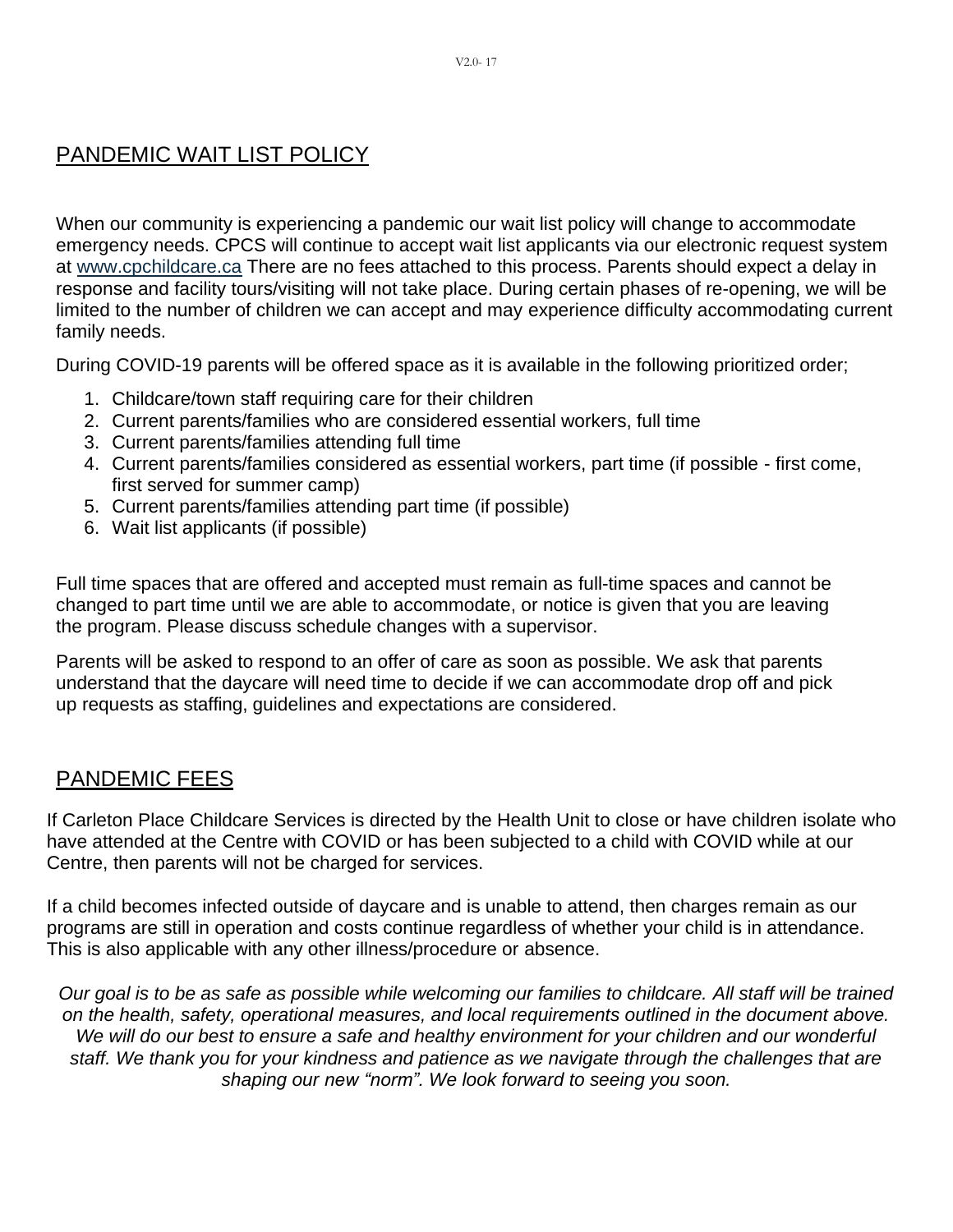## PANDEMIC WAIT LIST POLICY

When our community is experiencing a pandemic our wait list policy will change to accommodate emergency needs. CPCS will continue to accept wait list applicants via our electronic request system at [www.cpchildcare.ca](http://www.cpchildcare.ca/) There are no fees attached to this process. Parents should expect a delay in response and facility tours/visiting will not take place. During certain phases of re-opening, we will be limited to the number of children we can accept and may experience difficulty accommodating current family needs.

During COVID-19 parents will be offered space as it is available in the following prioritized order;

- 1. Childcare/town staff requiring care for their children
- 2. Current parents/families who are considered essential workers, full time
- 3. Current parents/families attending full time
- 4. Current parents/families considered as essential workers, part time (if possible first come, first served for summer camp)
- 5. Current parents/families attending part time (if possible)
- 6. Wait list applicants (if possible)

Full time spaces that are offered and accepted must remain as full-time spaces and cannot be changed to part time until we are able to accommodate, or notice is given that you are leaving the program. Please discuss schedule changes with a supervisor.

Parents will be asked to respond to an offer of care as soon as possible. We ask that parents understand that the daycare will need time to decide if we can accommodate drop off and pick up requests as staffing, guidelines and expectations are considered.

### <span id="page-17-0"></span>PANDEMIC FEES

If Carleton Place Childcare Services is directed by the Health Unit to close or have children isolate who have attended at the Centre with COVID or has been subjected to a child with COVID while at our Centre, then parents will not be charged for services.

If a child becomes infected outside of daycare and is unable to attend, then charges remain as our programs are still in operation and costs continue regardless of whether your child is in attendance. This is also applicable with any other illness/procedure or absence.

*Our goal is to be as safe as possible while welcoming our families to childcare. All staff will be trained on the health, safety, operational measures, and local requirements outlined in the document above. We will do our best to ensure a safe and healthy environment for your children and our wonderful staff. We thank you for your kindness and patience as we navigate through the challenges that are shaping our new "norm". We look forward to seeing you soon.*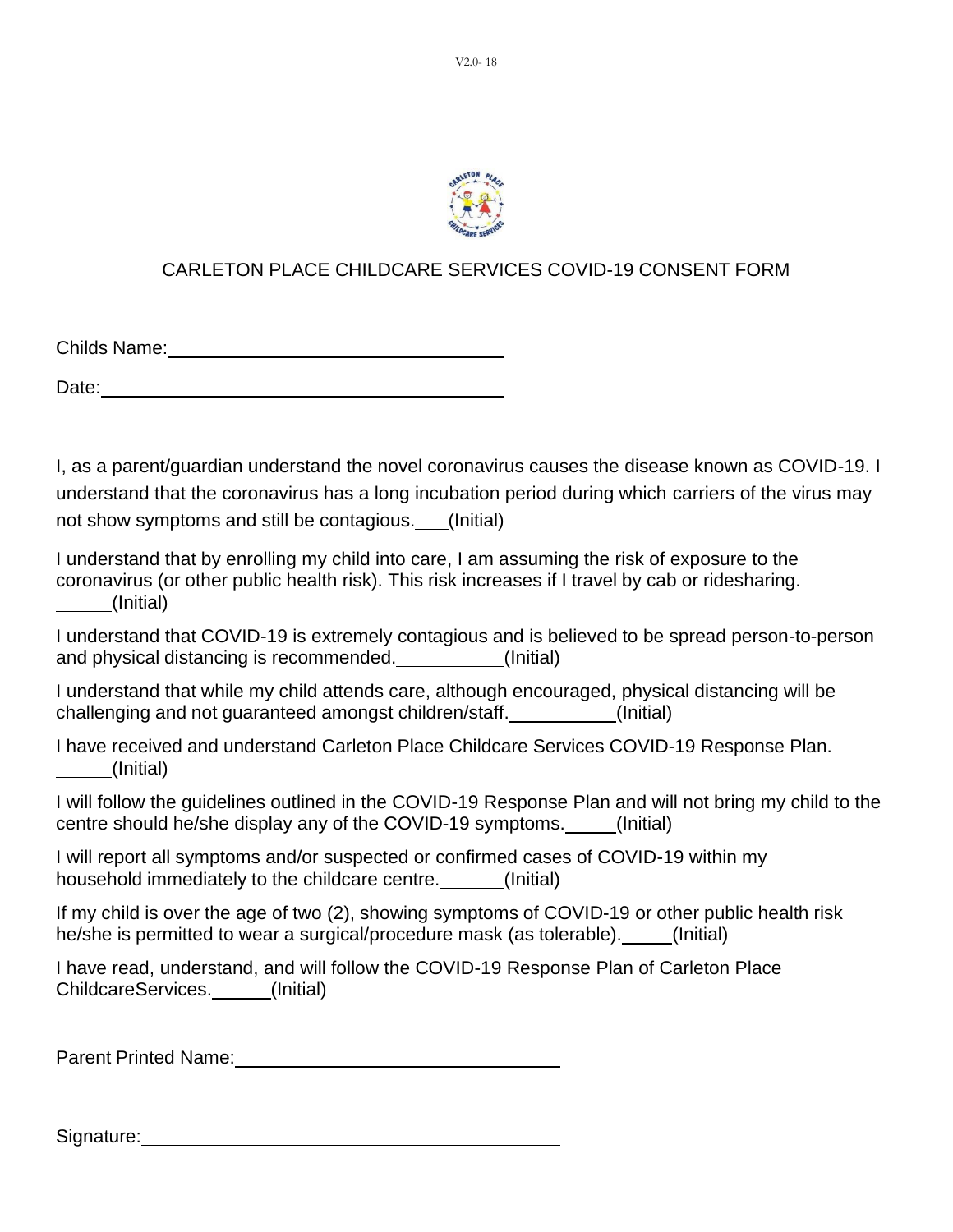

#### CARLETON PLACE CHILDCARE SERVICES COVID-19 CONSENT FORM

Childs Name:

Date: when the contract of the contract of the contract of the contract of the contract of the contract of the contract of the contract of the contract of the contract of the contract of the contract of the contract of the

I, as a parent/guardian understand the novel coronavirus causes the disease known as COVID-19. I understand that the coronavirus has a long incubation period during which carriers of the virus may not show symptoms and still be contagious. (Initial)

I understand that by enrolling my child into care, I am assuming the risk of exposure to the coronavirus (or other public health risk). This risk increases if I travel by cab or ridesharing. (Initial)

I understand that COVID-19 is extremely contagious and is believed to be spread person-to-person and physical distancing is recommended. (Initial)

I understand that while my child attends care, although encouraged, physical distancing will be challenging and not guaranteed amongst children/staff. (Initial)

I have received and understand Carleton Place Childcare Services COVID-19 Response Plan. (Initial)

I will follow the guidelines outlined in the COVID-19 Response Plan and will not bring my child to the centre should he/she display any of the COVID-19 symptoms. (Initial)

I will report all symptoms and/or suspected or confirmed cases of COVID-19 within my household immediately to the childcare centre. [Initial]

If my child is over the age of two (2), showing symptoms of COVID-19 or other public health risk he/she is permitted to wear a surgical/procedure mask (as tolerable). (Initial)

I have read, understand, and will follow the COVID-19 Response Plan of Carleton Place ChildcareServices. (Initial)

Parent Printed Name:

Signature: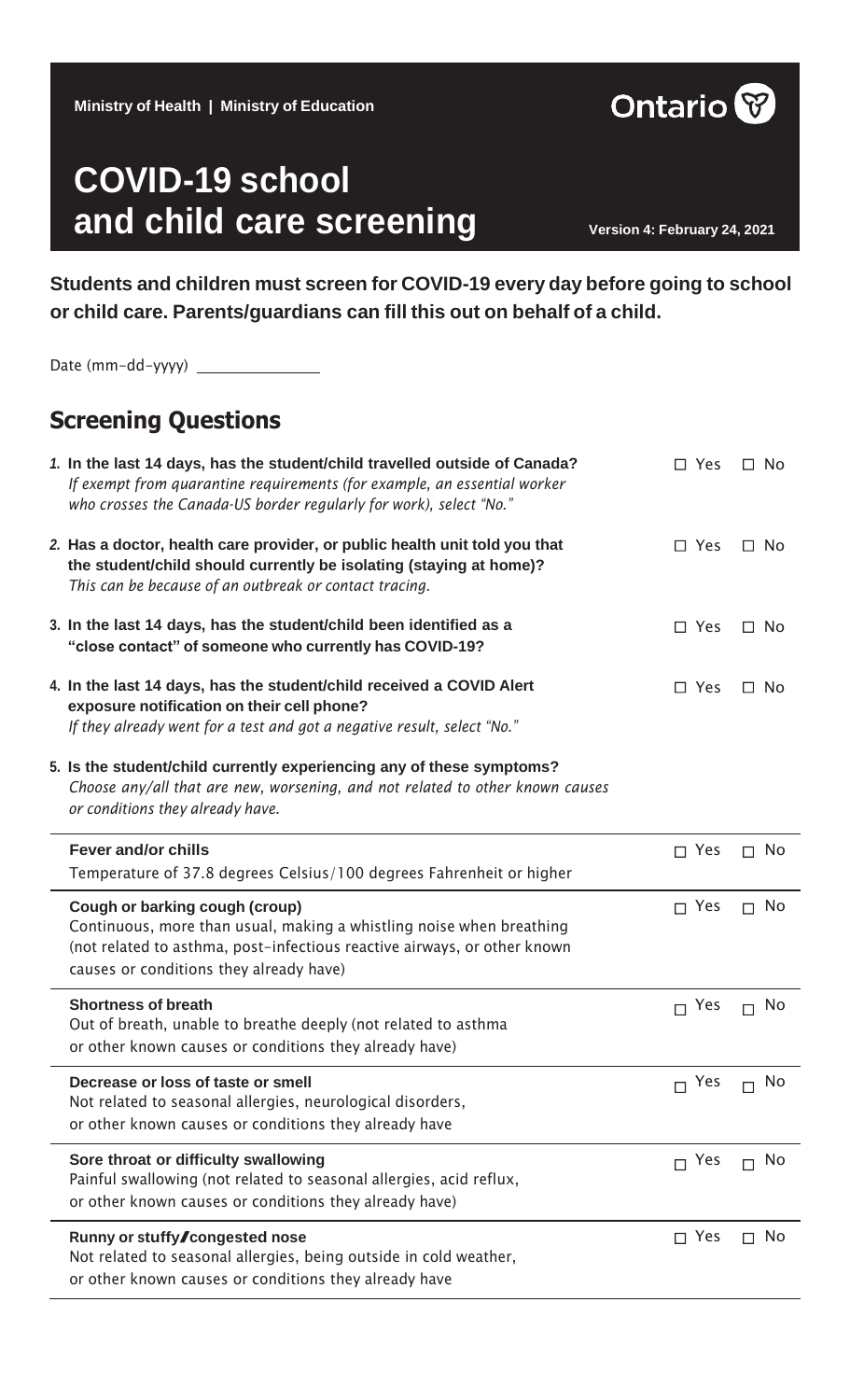| <b>COVID-19 school</b><br>and child care screening                                                                                                          | Version 4: February 24, 2021 |
|-------------------------------------------------------------------------------------------------------------------------------------------------------------|------------------------------|
| Students and children must screen for COVID-19 every day before going to school<br>or child care. Parents/guardians can fill this out on behalf of a child. |                              |

| <b>Screening Questions</b>                                                                                                                                                                                                    |               |                     |
|-------------------------------------------------------------------------------------------------------------------------------------------------------------------------------------------------------------------------------|---------------|---------------------|
| 1. In the last 14 days, has the student/child travelled outside of Canada?<br>If exempt from quarantine requirements (for example, an essential worker<br>who crosses the Canada-US border regularly for work), select "No."  | $\Box$ Yes    | $\Box$ No           |
| 2. Has a doctor, health care provider, or public health unit told you that<br>the student/child should currently be isolating (staying at home)?<br>This can be because of an outbreak or contact tracing.                    | $\Box$ Yes    | $\Box$ No           |
| 3. In the last 14 days, has the student/child been identified as a<br>"close contact" of someone who currently has COVID-19?                                                                                                  | $\Box$ Yes    | ⊟ No                |
| 4. In the last 14 days, has the student/child received a COVID Alert<br>exposure notification on their cell phone?<br>If they already went for a test and got a negative result, select "No."                                 | $\Box$ Yes    | $\Box$ No           |
| 5. Is the student/child currently experiencing any of these symptoms?<br>Choose any/all that are new, worsening, and not related to other known causes<br>or conditions they already have.                                    |               |                     |
|                                                                                                                                                                                                                               |               |                     |
| <b>Fever and/or chills</b><br>Temperature of 37.8 degrees Celsius/100 degrees Fahrenheit or higher                                                                                                                            | $\Box$ Yes    | No<br>П.            |
| Cough or barking cough (croup)<br>Continuous, more than usual, making a whistling noise when breathing<br>(not related to asthma, post-infectious reactive airways, or other known<br>causes or conditions they already have) | $\sqcap$ Yes  | No<br>$\Box$        |
| <b>Shortness of breath</b><br>Out of breath, unable to breathe deeply (not related to asthma<br>or other known causes or conditions they already have)                                                                        | $\Box$ Yes    | <b>No</b><br>$\Box$ |
| Decrease or loss of taste or smell<br>Not related to seasonal allergies, neurological disorders,<br>or other known causes or conditions they already have                                                                     | $\Gamma$ Yes  | No                  |
| Sore throat or difficulty swallowing<br>Painful swallowing (not related to seasonal allergies, acid reflux,<br>or other known causes or conditions they already have)                                                         | Yes<br>$\Box$ | <b>No</b>           |

Not related to seasonal allergies, being outside in cold weather, or other known causes or conditions they already have

#### **Ministry of Health | Ministry of Education**



Date (mm-dd-yyyy)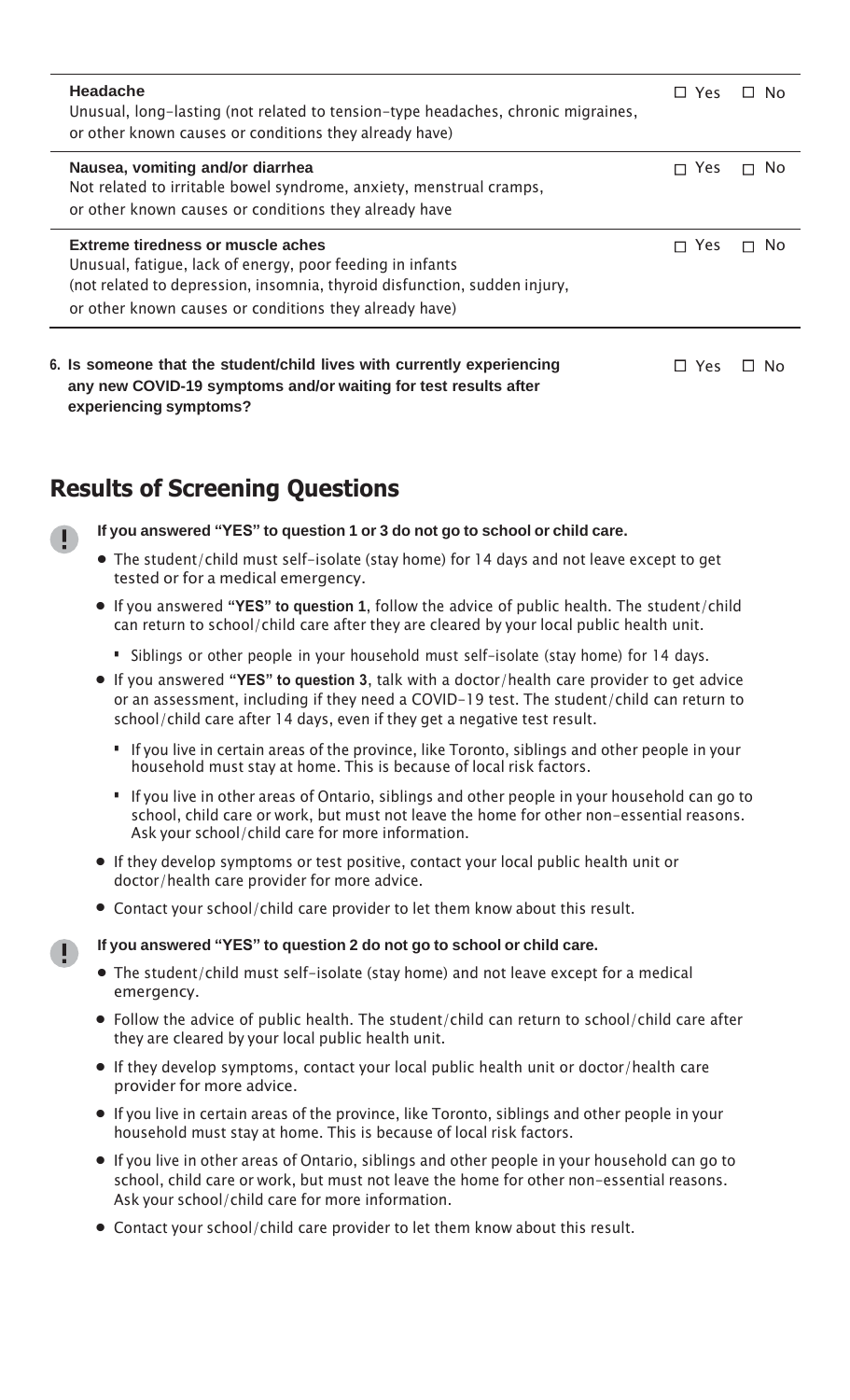| <b>Headache</b><br>Unusual, long-lasting (not related to tension-type headaches, chronic migraines,<br>or other known causes or conditions they already have)                                                                                | <b>Yes</b>   | ⊟ No      |
|----------------------------------------------------------------------------------------------------------------------------------------------------------------------------------------------------------------------------------------------|--------------|-----------|
| Nausea, vomiting and/or diarrhea<br>Not related to irritable bowel syndrome, anxiety, menstrual cramps,<br>or other known causes or conditions they already have                                                                             | $\sqcap$ Yes | No.<br>П  |
| <b>Extreme tiredness or muscle aches</b><br>Unusual, fatique, lack of energy, poor feeding in infants<br>(not related to depression, insomnia, thyroid disfunction, sudden injury,<br>or other known causes or conditions they already have) | Yes          | <b>No</b> |
| 6. Is someone that the student/child lives with currently experiencing<br>any new COVID-19 symptoms and/or waiting for test results after                                                                                                    | <b>Yes</b>   | II No     |

## **Results of Screening Questions**

**experiencing symptoms?**

Ð

**If you answered "YES" to question 1 or 3 do not go to school or child care.**

- **•** The student/child must self-isolate (stay home) for <sup>14</sup> days and not leave except to get tested or for a medical emergency.
- **•** If you answered **"YES" to question <sup>1</sup>**, follow the advice of public health. The student/child can return to school/child care after they are cleared by your local public health unit.
	- **·** Siblings or other people in your household must self-isolate (stay home) for <sup>14</sup> days.
- **•** If you answered **"YES" to question 3**, talk with a doctor/health care provider to get advice or an assessment, including if they need a COVID-19 test. The student/child can return to school/child care after 14 days, even if they get a negative test result.
	- **·** If you live in certain areas of the province, like Toronto, siblings and other people in your household must stay at home. This is because of local risk factors.
	- **·** If you live in other areas of Ontario, siblings and other people in your household can go to school, child care or work, but must not leave the home for other non-essential reasons. Ask your school/child care for more information.
- **•** If they develop symptoms or test positive, contact your local public health unit or doctor/health care provider for more advice.
- **•** Contact your school/child care provider to let them know about this result.

#### **If you answered "YES" to question 2 do not go to school or child care.**

- **•** The student/child must self-isolate (stay home) and not leave except for <sup>a</sup> medical emergency.
- **•** Follow the advice of public health. The student/child can return to school/child care after they are cleared by your local public health unit.
- **•** If they develop symptoms, contact your local public health unit or doctor/health care provider for more advice.
- **•** If you live in certain areas of the province, like Toronto, siblings and other people in your household must stay at home. This is because of local risk factors.
- **•** If you live in other areas of Ontario, siblings and other people in your household can go to school, child care or work, but must not leave the home for other non-essential reasons. Ask your school/child care for more information.
- **•** Contact your school/child care provider to let them know about this result.